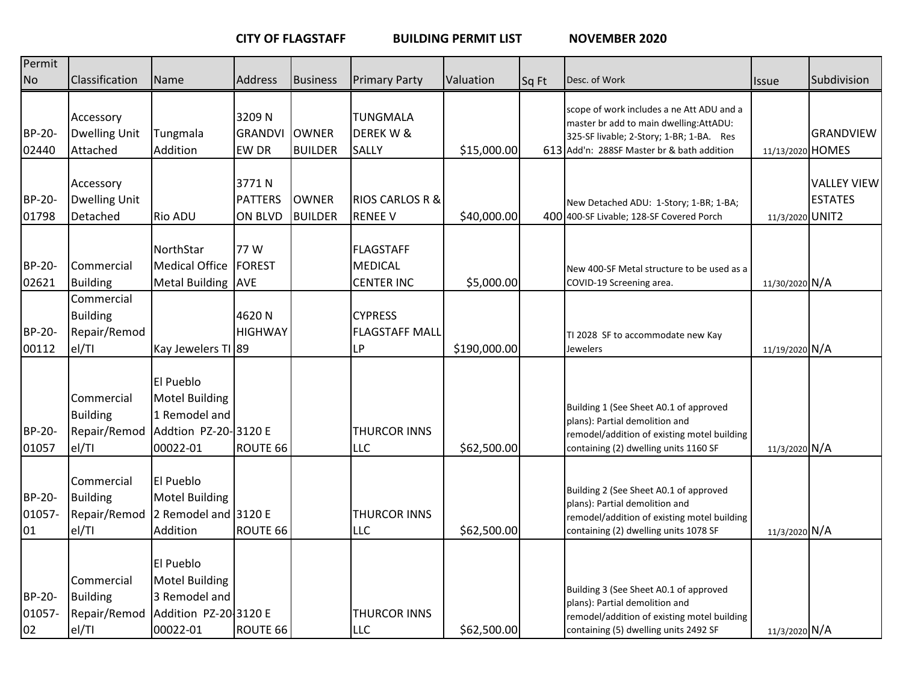**CITY OF FLAGSTAFF BUILDING PERMIT LIST NOVEMBER 2020**

| Permit                        |                                                        |                                                                                          |                                           |                                |                                                         |              |       |                                                                                                                                                                                |                  |                                      |
|-------------------------------|--------------------------------------------------------|------------------------------------------------------------------------------------------|-------------------------------------------|--------------------------------|---------------------------------------------------------|--------------|-------|--------------------------------------------------------------------------------------------------------------------------------------------------------------------------------|------------------|--------------------------------------|
| No                            | Classification                                         | Name                                                                                     | Address                                   | <b>Business</b>                | <b>Primary Party</b>                                    | Valuation    | Sq Ft | Desc. of Work                                                                                                                                                                  | <b>Issue</b>     | Subdivision                          |
| <b>BP-20-</b><br>02440        | Accessory<br><b>Dwelling Unit</b><br>Attached          | Tungmala<br>Addition                                                                     | 3209N<br><b>GRANDVI</b><br><b>EW DR</b>   | <b>OWNER</b><br><b>BUILDER</b> | <b>TUNGMALA</b><br>DEREK W &<br>SALLY                   | \$15,000.00  |       | scope of work includes a ne Att ADU and a<br>master br add to main dwelling: AttADU:<br>325-SF livable; 2-Story; 1-BR; 1-BA. Res<br>613 Add'n: 288SF Master br & bath addition | 11/13/2020 HOMES | <b>GRANDVIEW</b>                     |
| <b>BP-20-</b><br>01798        | Accessory<br><b>Dwelling Unit</b><br>Detached          | <b>Rio ADU</b>                                                                           | 3771N<br><b>PATTERS</b><br><b>ON BLVD</b> | <b>OWNER</b><br><b>BUILDER</b> | <b>RIOS CARLOS R &amp;</b><br><b>RENEE V</b>            | \$40,000.00  |       | New Detached ADU: 1-Story; 1-BR; 1-BA;<br>400 400-SF Livable; 128-SF Covered Porch                                                                                             | 11/3/2020 UNIT2  | <b>VALLEY VIEW</b><br><b>ESTATES</b> |
| <b>BP-20-</b><br>02621        | Commercial<br><b>Building</b><br>Commercial            | NorthStar<br>Medical Office<br>Metal Building AVE                                        | 77 W<br><b>FOREST</b>                     |                                | <b>FLAGSTAFF</b><br><b>MEDICAL</b><br><b>CENTER INC</b> | \$5,000.00   |       | New 400-SF Metal structure to be used as a<br>COVID-19 Screening area.                                                                                                         | 11/30/2020 N/A   |                                      |
| <b>BP-20-</b><br>00112        | <b>Building</b><br>Repair/Remod<br>el/TI               | Kay Jewelers TI 89                                                                       | 4620N<br><b>HIGHWAY</b>                   |                                | <b>CYPRESS</b><br><b>FLAGSTAFF MALL</b><br><b>LP</b>    | \$190,000.00 |       | TI 2028 SF to accommodate new Kay<br><b>Jewelers</b>                                                                                                                           | 11/19/2020 N/A   |                                      |
| <b>BP-20-</b><br>01057        | Commercial<br><b>Building</b><br>Repair/Remod<br>el/TI | El Pueblo<br>Motel Building<br>1 Remodel and<br>Addtion PZ-20-3120 E<br>00022-01         | ROUTE 66                                  |                                | <b>THURCOR INNS</b><br><b>LLC</b>                       | \$62,500.00  |       | Building 1 (See Sheet A0.1 of approved<br>plans): Partial demolition and<br>remodel/addition of existing motel building<br>containing (2) dwelling units 1160 SF               | 11/3/2020 N/A    |                                      |
| BP-20-<br>01057-<br>01        | Commercial<br><b>Building</b><br>Repair/Remod<br>el/TI | El Pueblo<br>Motel Building<br>2 Remodel and 3120 E<br>Addition                          | ROUTE 66                                  |                                | <b>THURCOR INNS</b><br>LLC                              | \$62,500.00  |       | Building 2 (See Sheet A0.1 of approved<br>plans): Partial demolition and<br>remodel/addition of existing motel building<br>containing (2) dwelling units 1078 SF               | 11/3/2020 N/A    |                                      |
| <b>BP-20-</b><br>01057-<br>02 | Commercial<br><b>Building</b><br>Repair/Remod<br>el/TI | El Pueblo<br><b>Motel Building</b><br>3 Remodel and<br>Addition PZ-20 3120 E<br>00022-01 | ROUTE 66                                  |                                | <b>THURCOR INNS</b><br><b>LLC</b>                       | \$62,500.00  |       | Building 3 (See Sheet A0.1 of approved<br>plans): Partial demolition and<br>remodel/addition of existing motel building<br>containing (5) dwelling units 2492 SF               | 11/3/2020 N/A    |                                      |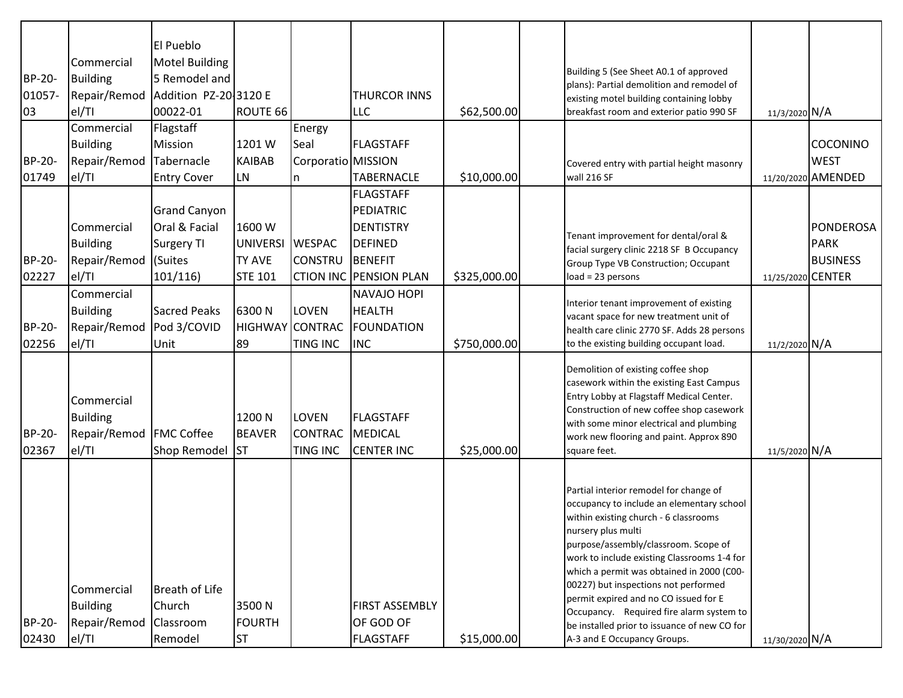|                        |                                                        | El Pueblo                         |                                      |                                                   |                                                  |              |                                                                                                                                                                                                                                                                                                                                                                         |                   |                    |
|------------------------|--------------------------------------------------------|-----------------------------------|--------------------------------------|---------------------------------------------------|--------------------------------------------------|--------------|-------------------------------------------------------------------------------------------------------------------------------------------------------------------------------------------------------------------------------------------------------------------------------------------------------------------------------------------------------------------------|-------------------|--------------------|
|                        | Commercial                                             | Motel Building                    |                                      |                                                   |                                                  |              | Building 5 (See Sheet A0.1 of approved                                                                                                                                                                                                                                                                                                                                  |                   |                    |
| BP-20-                 | <b>Building</b>                                        | 5 Remodel and                     |                                      |                                                   |                                                  |              | plans): Partial demolition and remodel of                                                                                                                                                                                                                                                                                                                               |                   |                    |
| 01057-                 | Repair/Remod                                           | Addition PZ-20 3120 E             |                                      |                                                   | <b>THURCOR INNS</b>                              |              | existing motel building containing lobby                                                                                                                                                                                                                                                                                                                                |                   |                    |
| 03                     | el/TI                                                  | 00022-01                          | ROUTE 66                             |                                                   | LLC                                              | \$62,500.00  | breakfast room and exterior patio 990 SF                                                                                                                                                                                                                                                                                                                                | 11/3/2020 N/A     |                    |
|                        | Commercial                                             | Flagstaff                         |                                      | Energy                                            |                                                  |              |                                                                                                                                                                                                                                                                                                                                                                         |                   |                    |
|                        | <b>Building</b>                                        | Mission                           | 1201W                                | Seal                                              | <b>FLAGSTAFF</b>                                 |              |                                                                                                                                                                                                                                                                                                                                                                         |                   | COCONINO           |
| <b>BP-20-</b>          | Repair/Remod                                           | Tabernacle                        | <b>KAIBAB</b>                        | Corporatio MISSION                                |                                                  |              | Covered entry with partial height masonry                                                                                                                                                                                                                                                                                                                               |                   | <b>WEST</b>        |
| 01749                  | el/TI                                                  | <b>Entry Cover</b>                | <b>LN</b>                            | n.                                                | <b>TABERNACLE</b>                                | \$10,000.00  | wall 216 SF                                                                                                                                                                                                                                                                                                                                                             |                   | 11/20/2020 AMENDED |
|                        |                                                        |                                   |                                      |                                                   | <b>FLAGSTAFF</b>                                 |              |                                                                                                                                                                                                                                                                                                                                                                         |                   |                    |
|                        |                                                        | <b>Grand Canyon</b>               |                                      |                                                   | PEDIATRIC                                        |              |                                                                                                                                                                                                                                                                                                                                                                         |                   |                    |
|                        | Commercial                                             | Oral & Facial                     | 1600W                                |                                                   | <b>DENTISTRY</b>                                 |              | Tenant improvement for dental/oral &                                                                                                                                                                                                                                                                                                                                    |                   | <b>PONDEROSA</b>   |
|                        | <b>Building</b>                                        | Surgery TI                        | <b>UNIVERSI</b>                      | <b>WESPAC</b>                                     | <b>DEFINED</b>                                   |              | facial surgery clinic 2218 SF B Occupancy                                                                                                                                                                                                                                                                                                                               |                   | <b>PARK</b>        |
| BP-20-                 | Repair/Remod                                           | (Suites                           | <b>TY AVE</b>                        | <b>CONSTRU</b>                                    | BENEFIT                                          |              | Group Type VB Construction; Occupant                                                                                                                                                                                                                                                                                                                                    |                   | <b>BUSINESS</b>    |
| 02227                  | el/TI                                                  | 101/116                           | <b>STE 101</b>                       |                                                   | <b>CTION INC PENSION PLAN</b>                    | \$325,000.00 | $load = 23 persons$                                                                                                                                                                                                                                                                                                                                                     | 11/25/2020 CENTER |                    |
|                        | Commercial                                             |                                   |                                      |                                                   | <b>NAVAJO HOPI</b>                               |              |                                                                                                                                                                                                                                                                                                                                                                         |                   |                    |
|                        | <b>Building</b>                                        | <b>Sacred Peaks</b>               | 6300N                                | <b>LOVEN</b>                                      | <b>HEALTH</b>                                    |              | Interior tenant improvement of existing<br>vacant space for new treatment unit of                                                                                                                                                                                                                                                                                       |                   |                    |
| <b>BP-20-</b>          | Repair/Remod                                           | Pod 3/COVID                       | <b>HIGHWAY CONTRAC</b>               |                                                   | FOUNDATION                                       |              | health care clinic 2770 SF. Adds 28 persons                                                                                                                                                                                                                                                                                                                             |                   |                    |
| 02256                  | el/TI                                                  | Unit                              | 89                                   | <b>TING INC</b>                                   | <b>INC</b>                                       | \$750,000.00 | to the existing building occupant load.                                                                                                                                                                                                                                                                                                                                 | 11/2/2020 N/A     |                    |
| <b>BP-20-</b><br>02367 | Commercial<br><b>Building</b><br>Repair/Remod<br>el/TI | <b>FMC Coffee</b><br>Shop Remodel | 1200 N<br><b>BEAVER</b><br><b>ST</b> | <b>LOVEN</b><br><b>CONTRAC</b><br><b>TING INC</b> | <b>FLAGSTAFF</b><br>MEDICAL<br><b>CENTER INC</b> | \$25,000.00  | Demolition of existing coffee shop<br>casework within the existing East Campus<br>Entry Lobby at Flagstaff Medical Center.<br>Construction of new coffee shop casework<br>with some minor electrical and plumbing<br>work new flooring and paint. Approx 890<br>square feet.                                                                                            | 11/5/2020 N/A     |                    |
|                        |                                                        |                                   |                                      |                                                   |                                                  |              |                                                                                                                                                                                                                                                                                                                                                                         |                   |                    |
|                        | Commercial                                             | Breath of Life                    |                                      |                                                   |                                                  |              | Partial interior remodel for change of<br>occupancy to include an elementary school<br>within existing church - 6 classrooms<br>nursery plus multi<br>purpose/assembly/classroom. Scope of<br>work to include existing Classrooms 1-4 for<br>which a permit was obtained in 2000 (C00-<br>00227) but inspections not performed<br>permit expired and no CO issued for E |                   |                    |
|                        | <b>Building</b>                                        | Church                            | 3500N                                |                                                   | <b>FIRST ASSEMBLY</b>                            |              | Occupancy. Required fire alarm system to                                                                                                                                                                                                                                                                                                                                |                   |                    |
| BP-20-                 | Repair/Remod                                           | Classroom                         | <b>FOURTH</b>                        |                                                   | OF GOD OF                                        |              | be installed prior to issuance of new CO for                                                                                                                                                                                                                                                                                                                            |                   |                    |
| 02430                  | el/Tl                                                  | Remodel                           | <b>ST</b>                            |                                                   | <b>FLAGSTAFF</b>                                 | \$15,000.00  | A-3 and E Occupancy Groups.                                                                                                                                                                                                                                                                                                                                             | 11/30/2020 N/A    |                    |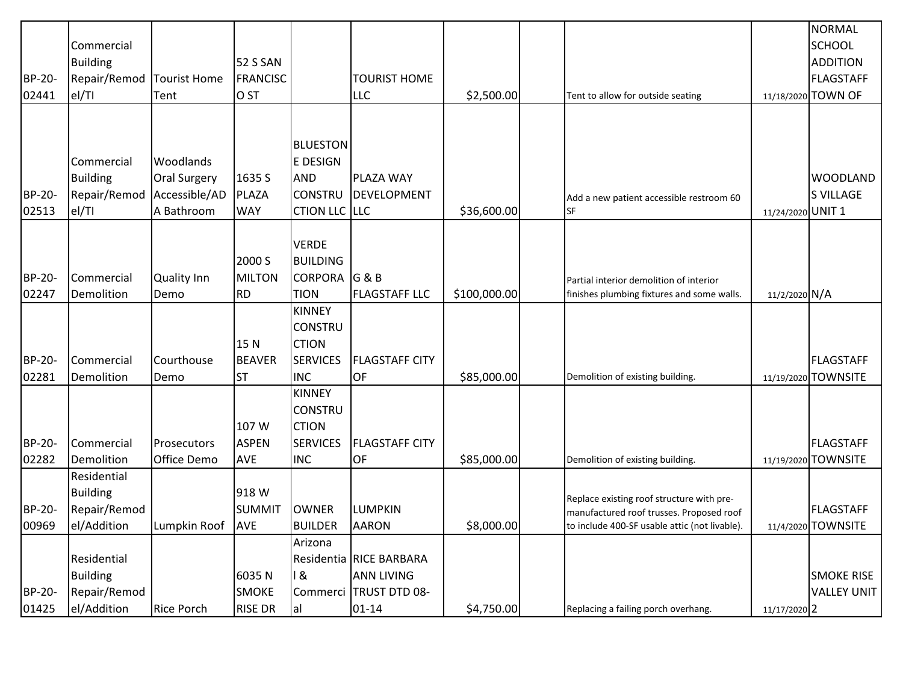|               |                 |                     |                 |                 |                         |              |                                                                                       |                   | NORMAL              |
|---------------|-----------------|---------------------|-----------------|-----------------|-------------------------|--------------|---------------------------------------------------------------------------------------|-------------------|---------------------|
|               | Commercial      |                     |                 |                 |                         |              |                                                                                       |                   | <b>SCHOOL</b>       |
|               | <b>Building</b> |                     | <b>52 S SAN</b> |                 |                         |              |                                                                                       |                   | ADDITION            |
| <b>BP-20-</b> | Repair/Remod    | <b>Tourist Home</b> | <b>FRANCISC</b> |                 | TOURIST HOME            |              |                                                                                       |                   | FLAGSTAFF           |
| 02441         | el/TI           | Tent                | O <sub>ST</sub> |                 | <b>LLC</b>              | \$2,500.00   | Tent to allow for outside seating                                                     |                   | 11/18/2020 TOWN OF  |
|               |                 |                     |                 |                 |                         |              |                                                                                       |                   |                     |
|               |                 |                     |                 |                 |                         |              |                                                                                       |                   |                     |
|               |                 |                     |                 | <b>BLUESTON</b> |                         |              |                                                                                       |                   |                     |
|               | Commercial      | Woodlands           |                 | <b>E DESIGN</b> |                         |              |                                                                                       |                   |                     |
|               | <b>Building</b> | <b>Oral Surgery</b> | 1635 S          | <b>AND</b>      | PLAZA WAY               |              |                                                                                       |                   | <b>WOODLAND</b>     |
| <b>BP-20-</b> | Repair/Remod    | Accessible/AD       | PLAZA           | <b>CONSTRU</b>  | <b>DEVELOPMENT</b>      |              | Add a new patient accessible restroom 60                                              |                   | S VILLAGE           |
| 02513         | el/TI           | A Bathroom          | <b>WAY</b>      | CTION LLC LLC   |                         | \$36,600.00  | <b>SF</b>                                                                             | 11/24/2020 UNIT 1 |                     |
|               |                 |                     |                 |                 |                         |              |                                                                                       |                   |                     |
|               |                 |                     |                 | <b>VERDE</b>    |                         |              |                                                                                       |                   |                     |
|               |                 |                     | 2000 S          | <b>BUILDING</b> |                         |              |                                                                                       |                   |                     |
| <b>BP-20-</b> | Commercial      | <b>Quality Inn</b>  | <b>MILTON</b>   | <b>CORPORA</b>  | G&B                     |              | Partial interior demolition of interior                                               |                   |                     |
| 02247         | Demolition      | Demo                | <b>RD</b>       | <b>TION</b>     | <b>FLAGSTAFF LLC</b>    | \$100,000.00 | finishes plumbing fixtures and some walls.                                            | 11/2/2020 N/A     |                     |
|               |                 |                     |                 | <b>KINNEY</b>   |                         |              |                                                                                       |                   |                     |
|               |                 |                     |                 | <b>CONSTRU</b>  |                         |              |                                                                                       |                   |                     |
|               |                 |                     | 15N             | <b>CTION</b>    |                         |              |                                                                                       |                   |                     |
| <b>BP-20-</b> | Commercial      | Courthouse          | <b>BEAVER</b>   | <b>SERVICES</b> | <b>FLAGSTAFF CITY</b>   |              |                                                                                       |                   | FLAGSTAFF           |
| 02281         | Demolition      | Demo                | <b>ST</b>       | <b>INC</b>      | <b>OF</b>               | \$85,000.00  | Demolition of existing building.                                                      |                   | 11/19/2020 TOWNSITE |
|               |                 |                     |                 | <b>KINNEY</b>   |                         |              |                                                                                       |                   |                     |
|               |                 |                     |                 | <b>CONSTRU</b>  |                         |              |                                                                                       |                   |                     |
|               |                 |                     | 107 W           | <b>CTION</b>    |                         |              |                                                                                       |                   |                     |
| <b>BP-20-</b> | Commercial      | Prosecutors         | <b>ASPEN</b>    | <b>SERVICES</b> | <b>FLAGSTAFF CITY</b>   |              |                                                                                       |                   | <b>FLAGSTAFF</b>    |
| 02282         | Demolition      | Office Demo         | AVE             | <b>INC</b>      | OF                      | \$85,000.00  | Demolition of existing building.                                                      |                   | 11/19/2020 TOWNSITE |
|               | Residential     |                     |                 |                 |                         |              |                                                                                       |                   |                     |
|               | <b>Building</b> |                     | 918 W           |                 |                         |              |                                                                                       |                   |                     |
| <b>BP-20-</b> | Repair/Remod    |                     | <b>SUMMIT</b>   | <b>OWNER</b>    | <b>LUMPKIN</b>          |              | Replace existing roof structure with pre-<br>manufactured roof trusses. Proposed roof |                   | FLAGSTAFF           |
| 00969         | el/Addition     | Lumpkin Roof        | <b>AVE</b>      | <b>BUILDER</b>  | <b>AARON</b>            | \$8,000.00   | to include 400-SF usable attic (not livable).                                         |                   | 11/4/2020 TOWNSITE  |
|               |                 |                     |                 | Arizona         |                         |              |                                                                                       |                   |                     |
|               | Residential     |                     |                 |                 | Residentia RICE BARBARA |              |                                                                                       |                   |                     |
|               | <b>Building</b> |                     | 6035N           | 18              | <b>ANN LIVING</b>       |              |                                                                                       |                   | <b>SMOKE RISE</b>   |
| <b>BP-20-</b> | Repair/Remod    |                     | <b>SMOKE</b>    | Commerci        | <b>TRUST DTD 08-</b>    |              |                                                                                       |                   | <b>VALLEY UNIT</b>  |
| 01425         | el/Addition     | <b>Rice Porch</b>   | <b>RISE DR</b>  | al              | $01 - 14$               | \$4,750.00   | Replacing a failing porch overhang.                                                   | 11/17/2020 2      |                     |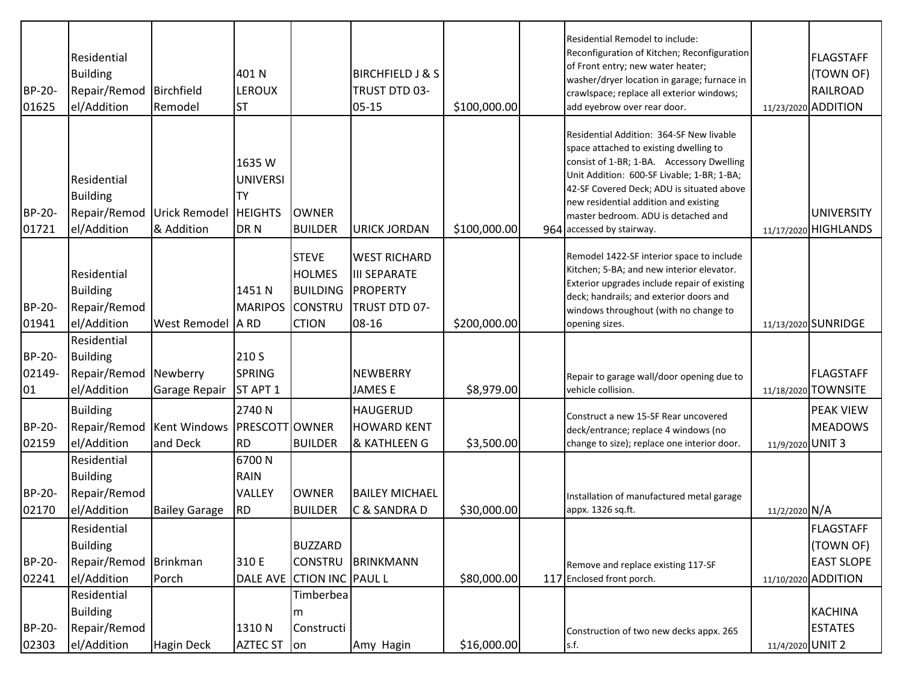| BP-20-<br>01625        | Residential<br><b>Building</b><br>Repair/Remod Birchfield<br>el/Addition | Remodel                                          | 401 N<br><b>LEROUX</b><br><b>ST</b>           |                                                                                    | <b>BIRCHFIELD J &amp; S</b><br>TRUST DTD 03-<br>$05 - 15$                        | \$100,000.00 | Residential Remodel to include:<br>Reconfiguration of Kitchen; Reconfiguration<br>of Front entry; new water heater;<br>washer/dryer location in garage; furnace in<br>crawlspace; replace all exterior windows;<br>add eyebrow over rear door.                                                                                          |                  | <b>FLAGSTAFF</b><br>(TOWN OF)<br><b>RAILROAD</b><br>11/23/2020 ADDITION   |
|------------------------|--------------------------------------------------------------------------|--------------------------------------------------|-----------------------------------------------|------------------------------------------------------------------------------------|----------------------------------------------------------------------------------|--------------|-----------------------------------------------------------------------------------------------------------------------------------------------------------------------------------------------------------------------------------------------------------------------------------------------------------------------------------------|------------------|---------------------------------------------------------------------------|
| <b>BP-20-</b><br>01721 | Residential<br><b>Building</b><br>el/Addition                            | Repair/Remod Urick Remodel HEIGHTS<br>& Addition | 1635W<br><b>UNIVERSI</b><br><b>TY</b><br>DR N | <b>OWNER</b><br><b>BUILDER</b>                                                     | <b>URICK JORDAN</b>                                                              | \$100,000.00 | Residential Addition: 364-SF New livable<br>space attached to existing dwelling to<br>consist of 1-BR; 1-BA. Accessory Dwelling<br>Unit Addition: 600-SF Livable; 1-BR; 1-BA;<br>42-SF Covered Deck; ADU is situated above<br>new residential addition and existing<br>master bedroom. ADU is detached and<br>964 accessed by stairway. |                  | <b>UNIVERSITY</b><br>11/17/2020 HIGHLANDS                                 |
| <b>BP-20-</b><br>01941 | Residential<br><b>Building</b><br>Repair/Remod<br>el/Addition            | West Remodel A RD                                | 1451 N<br><b>MARIPOS</b>                      | <b>STEVE</b><br><b>HOLMES</b><br><b>BUILDING</b><br><b>CONSTRU</b><br><b>CTION</b> | <b>WEST RICHARD</b><br><b>III SEPARATE</b><br>PROPERTY<br>TRUST DTD 07-<br>08-16 | \$200,000.00 | Remodel 1422-SF interior space to include<br>Kitchen; 5-BA; and new interior elevator.<br>Exterior upgrades include repair of existing<br>deck; handrails; and exterior doors and<br>windows throughout (with no change to<br>opening sizes.                                                                                            |                  | 11/13/2020 SUNRIDGE                                                       |
| BP-20-<br>02149-<br>01 | Residential<br><b>Building</b><br>Repair/Remod<br>el/Addition            | Newberry<br>Garage Repair                        | 210 S<br><b>SPRING</b><br>ST APT 1            |                                                                                    | <b>NEWBERRY</b><br><b>JAMES E</b>                                                | \$8,979.00   | Repair to garage wall/door opening due to<br>vehicle collision.                                                                                                                                                                                                                                                                         |                  | <b>FLAGSTAFF</b><br>11/18/2020 TOWNSITE                                   |
| <b>BP-20-</b><br>02159 | <b>Building</b><br>Repair/Remod   Kent Windows<br>el/Addition            | and Deck                                         | 2740N<br><b>PRESCOTT OWNER</b><br><b>RD</b>   | <b>BUILDER</b>                                                                     | <b>HAUGERUD</b><br><b>HOWARD KENT</b><br>& KATHLEEN G                            | \$3,500.00   | Construct a new 15-SF Rear uncovered<br>deck/entrance; replace 4 windows (no<br>change to size); replace one interior door.                                                                                                                                                                                                             | 11/9/2020 UNIT 3 | <b>PEAK VIEW</b><br><b>MEADOWS</b>                                        |
| BP-20-<br>02170        | Residential<br><b>Building</b><br>Repair/Remod<br>el/Addition            | <b>Bailey Garage</b>                             | 6700N<br>RAIN<br>VALLEY<br><b>RD</b>          | <b>OWNER</b><br><b>BUILDER</b>                                                     | <b>BAILEY MICHAEL</b><br>C & SANDRA D                                            | \$30,000.00  | Installation of manufactured metal garage<br>appx. 1326 sq.ft.                                                                                                                                                                                                                                                                          | 11/2/2020 N/A    |                                                                           |
| <b>BP-20-</b><br>02241 | Residential<br><b>Building</b><br>Repair/Remod Brinkman<br>el/Addition   | Porch                                            | 310 E<br>DALE AVE                             | <b>BUZZARD</b><br><b>CONSTRU</b><br><b>CTION INC PAUL L</b>                        | BRINKMANN                                                                        | \$80,000.00  | Remove and replace existing 117-SF<br>117 Enclosed front porch.                                                                                                                                                                                                                                                                         |                  | <b>FLAGSTAFF</b><br>(TOWN OF)<br><b>EAST SLOPE</b><br>11/10/2020 ADDITION |
| <b>BP-20-</b><br>02303 | Residential<br><b>Building</b><br>Repair/Remod<br>el/Addition            | Hagin Deck                                       | 1310N<br><b>AZTEC ST</b>                      | Timberbea<br>l m<br>Constructi<br>lon                                              | Amy Hagin                                                                        | \$16,000.00  | Construction of two new decks appx. 265<br>s.f.                                                                                                                                                                                                                                                                                         | 11/4/2020 UNIT 2 | <b>KACHINA</b><br><b>ESTATES</b>                                          |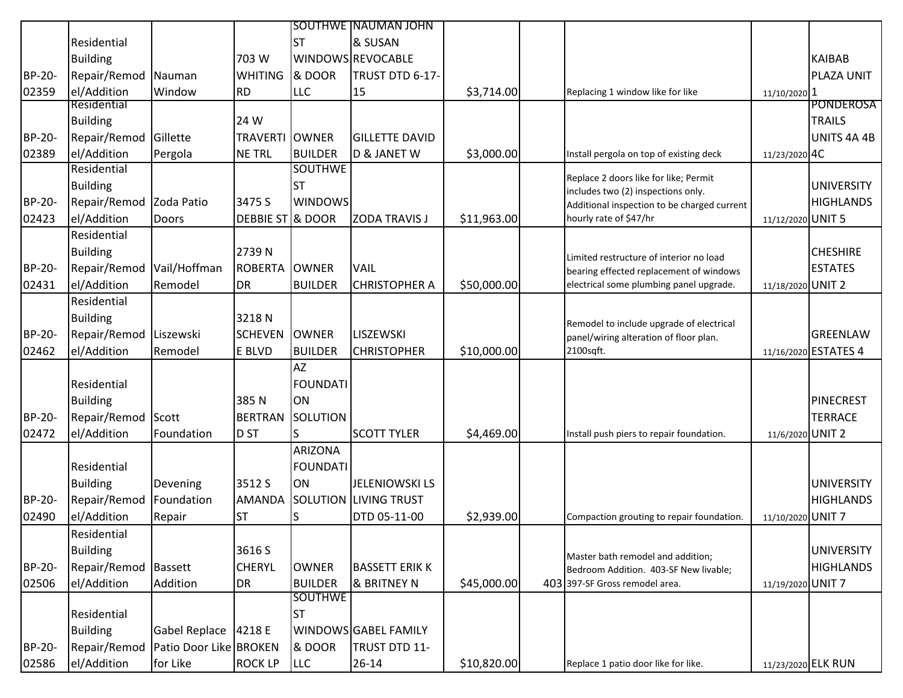| & SUSAN<br>Residential<br><b>ST</b><br><b>Building</b><br>WINDOWS REVOCABLE<br>703 W<br><b>KAIBAB</b><br>BP-20-<br>Repair/Remod<br>PLAZA UNIT<br>Nauman<br><b>WHITING</b><br>& DOOR<br>TRUST DTD 6-17-<br>el/Addition<br>02359<br>Window<br><b>RD</b><br><b>LLC</b><br>15<br>\$3,714.00<br>Replacing 1 window like for like<br>11/10/2020 1<br>Residential<br><b>TRAILS</b><br><b>Building</b><br>24 W<br><b>BP-20-</b><br>Repair/Remod Gillette<br><b>TRAVERTI OWNER</b><br><b>GILLETTE DAVID</b><br>el/Addition<br>Pergola<br><b>NE TRL</b><br><b>BUILDER</b><br>D & JANET W<br>\$3,000.00<br>02389<br>11/23/2020 4C<br>Install pergola on top of existing deck<br>Residential<br><b>SOUTHWE</b><br>Replace 2 doors like for like; Permit<br><b>Building</b><br><b>UNIVERSITY</b><br><b>ST</b><br>includes two (2) inspections only.<br><b>BP-20-</b><br>Repair/Remod Zoda Patio<br>3475 S<br><b>WINDOWS</b><br>Additional inspection to be charged current<br>02423<br>el/Addition<br>DEBBIE ST & DOOR<br><b>ZODA TRAVIS J</b><br>\$11,963.00<br>hourly rate of \$47/hr<br>11/12/2020 UNIT 5<br>Doors<br>Residential<br><b>Building</b><br>2739N<br><b>CHESHIRE</b><br>Limited restructure of interior no load<br><b>BP-20-</b><br>Repair/Remod<br>Vail/Hoffman<br><b>ESTATES</b><br><b>ROBERTA</b><br><b>OWNER</b><br><b>VAIL</b><br>bearing effected replacement of windows<br>el/Addition<br>\$50,000.00<br>02431<br>Remodel<br>DR<br><b>BUILDER</b><br><b>CHRISTOPHER A</b><br>electrical some plumbing panel upgrade.<br>11/18/2020 UNIT 2<br>Residential<br><b>Building</b><br>3218N<br>Remodel to include upgrade of electrical<br><b>BP-20-</b><br>Repair/Remod Liszewski<br><b>OWNER</b><br>LISZEWSKI<br><b>GREENLAW</b><br><b>SCHEVEN</b><br>panel/wiring alteration of floor plan.<br>\$10,000.00<br>02462<br>el/Addition<br>Remodel<br><b>BUILDER</b><br><b>CHRISTOPHER</b><br>2100sqft.<br>11/16/2020 ESTATES 4<br>E BLVD |  |  | <b>SOUTHWE INAUMAN JOHN</b> |  |  |                   |
|-------------------------------------------------------------------------------------------------------------------------------------------------------------------------------------------------------------------------------------------------------------------------------------------------------------------------------------------------------------------------------------------------------------------------------------------------------------------------------------------------------------------------------------------------------------------------------------------------------------------------------------------------------------------------------------------------------------------------------------------------------------------------------------------------------------------------------------------------------------------------------------------------------------------------------------------------------------------------------------------------------------------------------------------------------------------------------------------------------------------------------------------------------------------------------------------------------------------------------------------------------------------------------------------------------------------------------------------------------------------------------------------------------------------------------------------------------------------------------------------------------------------------------------------------------------------------------------------------------------------------------------------------------------------------------------------------------------------------------------------------------------------------------------------------------------------------------------------------------------------------------------------------------------------------------------------|--|--|-----------------------------|--|--|-------------------|
|                                                                                                                                                                                                                                                                                                                                                                                                                                                                                                                                                                                                                                                                                                                                                                                                                                                                                                                                                                                                                                                                                                                                                                                                                                                                                                                                                                                                                                                                                                                                                                                                                                                                                                                                                                                                                                                                                                                                           |  |  |                             |  |  |                   |
|                                                                                                                                                                                                                                                                                                                                                                                                                                                                                                                                                                                                                                                                                                                                                                                                                                                                                                                                                                                                                                                                                                                                                                                                                                                                                                                                                                                                                                                                                                                                                                                                                                                                                                                                                                                                                                                                                                                                           |  |  |                             |  |  |                   |
|                                                                                                                                                                                                                                                                                                                                                                                                                                                                                                                                                                                                                                                                                                                                                                                                                                                                                                                                                                                                                                                                                                                                                                                                                                                                                                                                                                                                                                                                                                                                                                                                                                                                                                                                                                                                                                                                                                                                           |  |  |                             |  |  |                   |
|                                                                                                                                                                                                                                                                                                                                                                                                                                                                                                                                                                                                                                                                                                                                                                                                                                                                                                                                                                                                                                                                                                                                                                                                                                                                                                                                                                                                                                                                                                                                                                                                                                                                                                                                                                                                                                                                                                                                           |  |  |                             |  |  |                   |
|                                                                                                                                                                                                                                                                                                                                                                                                                                                                                                                                                                                                                                                                                                                                                                                                                                                                                                                                                                                                                                                                                                                                                                                                                                                                                                                                                                                                                                                                                                                                                                                                                                                                                                                                                                                                                                                                                                                                           |  |  |                             |  |  | <b>PONDEROSA</b>  |
|                                                                                                                                                                                                                                                                                                                                                                                                                                                                                                                                                                                                                                                                                                                                                                                                                                                                                                                                                                                                                                                                                                                                                                                                                                                                                                                                                                                                                                                                                                                                                                                                                                                                                                                                                                                                                                                                                                                                           |  |  |                             |  |  |                   |
|                                                                                                                                                                                                                                                                                                                                                                                                                                                                                                                                                                                                                                                                                                                                                                                                                                                                                                                                                                                                                                                                                                                                                                                                                                                                                                                                                                                                                                                                                                                                                                                                                                                                                                                                                                                                                                                                                                                                           |  |  |                             |  |  | UNITS 4A 4B       |
|                                                                                                                                                                                                                                                                                                                                                                                                                                                                                                                                                                                                                                                                                                                                                                                                                                                                                                                                                                                                                                                                                                                                                                                                                                                                                                                                                                                                                                                                                                                                                                                                                                                                                                                                                                                                                                                                                                                                           |  |  |                             |  |  |                   |
|                                                                                                                                                                                                                                                                                                                                                                                                                                                                                                                                                                                                                                                                                                                                                                                                                                                                                                                                                                                                                                                                                                                                                                                                                                                                                                                                                                                                                                                                                                                                                                                                                                                                                                                                                                                                                                                                                                                                           |  |  |                             |  |  |                   |
|                                                                                                                                                                                                                                                                                                                                                                                                                                                                                                                                                                                                                                                                                                                                                                                                                                                                                                                                                                                                                                                                                                                                                                                                                                                                                                                                                                                                                                                                                                                                                                                                                                                                                                                                                                                                                                                                                                                                           |  |  |                             |  |  |                   |
|                                                                                                                                                                                                                                                                                                                                                                                                                                                                                                                                                                                                                                                                                                                                                                                                                                                                                                                                                                                                                                                                                                                                                                                                                                                                                                                                                                                                                                                                                                                                                                                                                                                                                                                                                                                                                                                                                                                                           |  |  |                             |  |  | <b>HIGHLANDS</b>  |
|                                                                                                                                                                                                                                                                                                                                                                                                                                                                                                                                                                                                                                                                                                                                                                                                                                                                                                                                                                                                                                                                                                                                                                                                                                                                                                                                                                                                                                                                                                                                                                                                                                                                                                                                                                                                                                                                                                                                           |  |  |                             |  |  |                   |
|                                                                                                                                                                                                                                                                                                                                                                                                                                                                                                                                                                                                                                                                                                                                                                                                                                                                                                                                                                                                                                                                                                                                                                                                                                                                                                                                                                                                                                                                                                                                                                                                                                                                                                                                                                                                                                                                                                                                           |  |  |                             |  |  |                   |
|                                                                                                                                                                                                                                                                                                                                                                                                                                                                                                                                                                                                                                                                                                                                                                                                                                                                                                                                                                                                                                                                                                                                                                                                                                                                                                                                                                                                                                                                                                                                                                                                                                                                                                                                                                                                                                                                                                                                           |  |  |                             |  |  |                   |
|                                                                                                                                                                                                                                                                                                                                                                                                                                                                                                                                                                                                                                                                                                                                                                                                                                                                                                                                                                                                                                                                                                                                                                                                                                                                                                                                                                                                                                                                                                                                                                                                                                                                                                                                                                                                                                                                                                                                           |  |  |                             |  |  |                   |
|                                                                                                                                                                                                                                                                                                                                                                                                                                                                                                                                                                                                                                                                                                                                                                                                                                                                                                                                                                                                                                                                                                                                                                                                                                                                                                                                                                                                                                                                                                                                                                                                                                                                                                                                                                                                                                                                                                                                           |  |  |                             |  |  |                   |
|                                                                                                                                                                                                                                                                                                                                                                                                                                                                                                                                                                                                                                                                                                                                                                                                                                                                                                                                                                                                                                                                                                                                                                                                                                                                                                                                                                                                                                                                                                                                                                                                                                                                                                                                                                                                                                                                                                                                           |  |  |                             |  |  |                   |
|                                                                                                                                                                                                                                                                                                                                                                                                                                                                                                                                                                                                                                                                                                                                                                                                                                                                                                                                                                                                                                                                                                                                                                                                                                                                                                                                                                                                                                                                                                                                                                                                                                                                                                                                                                                                                                                                                                                                           |  |  |                             |  |  |                   |
|                                                                                                                                                                                                                                                                                                                                                                                                                                                                                                                                                                                                                                                                                                                                                                                                                                                                                                                                                                                                                                                                                                                                                                                                                                                                                                                                                                                                                                                                                                                                                                                                                                                                                                                                                                                                                                                                                                                                           |  |  |                             |  |  |                   |
|                                                                                                                                                                                                                                                                                                                                                                                                                                                                                                                                                                                                                                                                                                                                                                                                                                                                                                                                                                                                                                                                                                                                                                                                                                                                                                                                                                                                                                                                                                                                                                                                                                                                                                                                                                                                                                                                                                                                           |  |  |                             |  |  |                   |
| <b>AZ</b>                                                                                                                                                                                                                                                                                                                                                                                                                                                                                                                                                                                                                                                                                                                                                                                                                                                                                                                                                                                                                                                                                                                                                                                                                                                                                                                                                                                                                                                                                                                                                                                                                                                                                                                                                                                                                                                                                                                                 |  |  |                             |  |  |                   |
| Residential<br><b>FOUNDATI</b>                                                                                                                                                                                                                                                                                                                                                                                                                                                                                                                                                                                                                                                                                                                                                                                                                                                                                                                                                                                                                                                                                                                                                                                                                                                                                                                                                                                                                                                                                                                                                                                                                                                                                                                                                                                                                                                                                                            |  |  |                             |  |  |                   |
| <b>Building</b><br>385N<br>ON<br><b>PINECREST</b>                                                                                                                                                                                                                                                                                                                                                                                                                                                                                                                                                                                                                                                                                                                                                                                                                                                                                                                                                                                                                                                                                                                                                                                                                                                                                                                                                                                                                                                                                                                                                                                                                                                                                                                                                                                                                                                                                         |  |  |                             |  |  |                   |
| <b>BP-20-</b><br>Repair/Remod Scott<br><b>TERRACE</b><br><b>BERTRAN</b><br>SOLUTION                                                                                                                                                                                                                                                                                                                                                                                                                                                                                                                                                                                                                                                                                                                                                                                                                                                                                                                                                                                                                                                                                                                                                                                                                                                                                                                                                                                                                                                                                                                                                                                                                                                                                                                                                                                                                                                       |  |  |                             |  |  |                   |
| 02472<br>el/Addition<br>Foundation<br>D <sub>ST</sub><br>S.<br><b>SCOTT TYLER</b><br>\$4,469.00<br>11/6/2020 UNIT 2<br>Install push piers to repair foundation.                                                                                                                                                                                                                                                                                                                                                                                                                                                                                                                                                                                                                                                                                                                                                                                                                                                                                                                                                                                                                                                                                                                                                                                                                                                                                                                                                                                                                                                                                                                                                                                                                                                                                                                                                                           |  |  |                             |  |  |                   |
| <b>ARIZONA</b>                                                                                                                                                                                                                                                                                                                                                                                                                                                                                                                                                                                                                                                                                                                                                                                                                                                                                                                                                                                                                                                                                                                                                                                                                                                                                                                                                                                                                                                                                                                                                                                                                                                                                                                                                                                                                                                                                                                            |  |  |                             |  |  |                   |
| Residential<br><b>FOUNDATI</b>                                                                                                                                                                                                                                                                                                                                                                                                                                                                                                                                                                                                                                                                                                                                                                                                                                                                                                                                                                                                                                                                                                                                                                                                                                                                                                                                                                                                                                                                                                                                                                                                                                                                                                                                                                                                                                                                                                            |  |  |                             |  |  |                   |
| 3512 S<br><b>Building</b><br>ON<br><b>JELENIOWSKI LS</b><br><b>UNIVERSITY</b><br>Devening                                                                                                                                                                                                                                                                                                                                                                                                                                                                                                                                                                                                                                                                                                                                                                                                                                                                                                                                                                                                                                                                                                                                                                                                                                                                                                                                                                                                                                                                                                                                                                                                                                                                                                                                                                                                                                                 |  |  |                             |  |  |                   |
| Repair/Remod<br>SOLUTION LIVING TRUST<br><b>BP-20-</b><br>Foundation<br><b>AMANDA</b>                                                                                                                                                                                                                                                                                                                                                                                                                                                                                                                                                                                                                                                                                                                                                                                                                                                                                                                                                                                                                                                                                                                                                                                                                                                                                                                                                                                                                                                                                                                                                                                                                                                                                                                                                                                                                                                     |  |  |                             |  |  | <b>HIGHLANDS</b>  |
| 02490<br>el/Addition<br><b>ST</b><br>DTD 05-11-00<br>\$2,939.00<br>11/10/2020 UNIT 7<br>Repair<br>Compaction grouting to repair foundation.                                                                                                                                                                                                                                                                                                                                                                                                                                                                                                                                                                                                                                                                                                                                                                                                                                                                                                                                                                                                                                                                                                                                                                                                                                                                                                                                                                                                                                                                                                                                                                                                                                                                                                                                                                                               |  |  |                             |  |  |                   |
| Residential                                                                                                                                                                                                                                                                                                                                                                                                                                                                                                                                                                                                                                                                                                                                                                                                                                                                                                                                                                                                                                                                                                                                                                                                                                                                                                                                                                                                                                                                                                                                                                                                                                                                                                                                                                                                                                                                                                                               |  |  |                             |  |  |                   |
| <b>Building</b><br>3616 S                                                                                                                                                                                                                                                                                                                                                                                                                                                                                                                                                                                                                                                                                                                                                                                                                                                                                                                                                                                                                                                                                                                                                                                                                                                                                                                                                                                                                                                                                                                                                                                                                                                                                                                                                                                                                                                                                                                 |  |  |                             |  |  | <b>UNIVERSITY</b> |
| Master bath remodel and addition;<br>BP-20-<br>Repair/Remod Bassett<br><b>CHERYL</b><br><b>OWNER</b><br><b>BASSETT ERIK K</b>                                                                                                                                                                                                                                                                                                                                                                                                                                                                                                                                                                                                                                                                                                                                                                                                                                                                                                                                                                                                                                                                                                                                                                                                                                                                                                                                                                                                                                                                                                                                                                                                                                                                                                                                                                                                             |  |  |                             |  |  | <b>HIGHLANDS</b>  |
| Bedroom Addition. 403-SF New livable;<br>el/Addition<br>Addition<br><b>BUILDER</b><br>& BRITNEY N<br>\$45,000.00<br>11/19/2020 UNIT 7<br>02506<br>DR<br>403 397-SF Gross remodel area.                                                                                                                                                                                                                                                                                                                                                                                                                                                                                                                                                                                                                                                                                                                                                                                                                                                                                                                                                                                                                                                                                                                                                                                                                                                                                                                                                                                                                                                                                                                                                                                                                                                                                                                                                    |  |  |                             |  |  |                   |
| <b>SOUTHWE</b>                                                                                                                                                                                                                                                                                                                                                                                                                                                                                                                                                                                                                                                                                                                                                                                                                                                                                                                                                                                                                                                                                                                                                                                                                                                                                                                                                                                                                                                                                                                                                                                                                                                                                                                                                                                                                                                                                                                            |  |  |                             |  |  |                   |
| Residential<br><b>ST</b>                                                                                                                                                                                                                                                                                                                                                                                                                                                                                                                                                                                                                                                                                                                                                                                                                                                                                                                                                                                                                                                                                                                                                                                                                                                                                                                                                                                                                                                                                                                                                                                                                                                                                                                                                                                                                                                                                                                  |  |  |                             |  |  |                   |
| <b>Building</b><br><b>Gabel Replace</b><br>4218 E<br>WINDOWS GABEL FAMILY                                                                                                                                                                                                                                                                                                                                                                                                                                                                                                                                                                                                                                                                                                                                                                                                                                                                                                                                                                                                                                                                                                                                                                                                                                                                                                                                                                                                                                                                                                                                                                                                                                                                                                                                                                                                                                                                 |  |  |                             |  |  |                   |
| & DOOR<br>BP-20-<br>Repair/Remod   Patio Door Like   BROKEN<br>TRUST DTD 11-                                                                                                                                                                                                                                                                                                                                                                                                                                                                                                                                                                                                                                                                                                                                                                                                                                                                                                                                                                                                                                                                                                                                                                                                                                                                                                                                                                                                                                                                                                                                                                                                                                                                                                                                                                                                                                                              |  |  |                             |  |  |                   |
| for Like<br><b>LLC</b><br>02586<br>el/Addition<br><b>ROCK LP</b><br>$26 - 14$<br>\$10,820.00<br>Replace 1 patio door like for like.<br>11/23/2020 ELK RUN                                                                                                                                                                                                                                                                                                                                                                                                                                                                                                                                                                                                                                                                                                                                                                                                                                                                                                                                                                                                                                                                                                                                                                                                                                                                                                                                                                                                                                                                                                                                                                                                                                                                                                                                                                                 |  |  |                             |  |  |                   |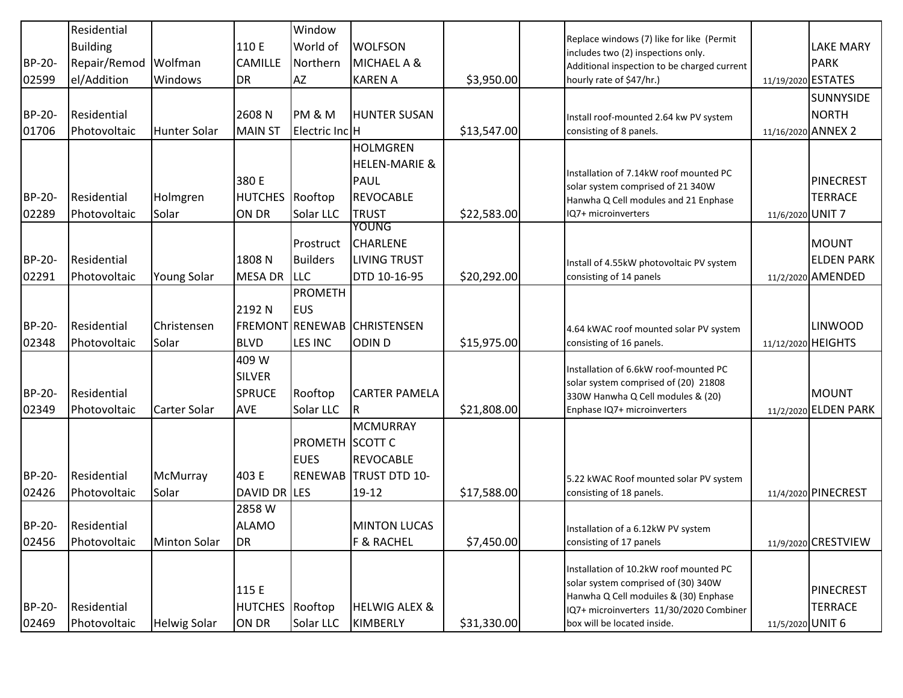| <b>BP-20-</b><br>02599 | Residential<br><b>Building</b><br>Repair/Remod Wolfman<br>el/Addition | <b>Windows</b>       | 110 E<br>CAMILLE<br><b>DR</b>                         | Window<br>World of<br>Northern<br>AZ                       | <b>WOLFSON</b><br>MICHAEL A &<br><b>KAREN A</b>                                                | \$3,950.00  | Replace windows (7) like for like (Permit<br>includes two (2) inspections only.<br>Additional inspection to be charged current<br>hourly rate of \$47/hr.)                                       |                  | <b>LAKE MARY</b><br><b>PARK</b><br>11/19/2020 ESTATES  |
|------------------------|-----------------------------------------------------------------------|----------------------|-------------------------------------------------------|------------------------------------------------------------|------------------------------------------------------------------------------------------------|-------------|--------------------------------------------------------------------------------------------------------------------------------------------------------------------------------------------------|------------------|--------------------------------------------------------|
| <b>BP-20-</b><br>01706 | Residential<br>Photovoltaic                                           | <b>Hunter Solar</b>  | 2608N<br><b>MAIN ST</b>                               | PM & M<br>Electric Inc H                                   | <b>HUNTER SUSAN</b>                                                                            | \$13,547.00 | Install roof-mounted 2.64 kw PV system<br>consisting of 8 panels.                                                                                                                                |                  | <b>SUNNYSIDE</b><br><b>NORTH</b><br>11/16/2020 ANNEX 2 |
| <b>BP-20-</b><br>02289 | Residential<br>Photovoltaic                                           | Holmgren<br>Solar    | 380 E<br><b>HUTCHES</b> Rooftop<br>ON DR              | Solar LLC                                                  | <b>HOLMGREN</b><br><b>HELEN-MARIE &amp;</b><br><b>PAUL</b><br><b>REVOCABLE</b><br><b>TRUST</b> | \$22,583.00 | Installation of 7.14kW roof mounted PC<br>solar system comprised of 21 340W<br>Hanwha Q Cell modules and 21 Enphase<br>IQ7+ microinverters                                                       | 11/6/2020 UNIT 7 | <b>PINECREST</b><br><b>TERRACE</b>                     |
| <b>BP-20-</b><br>02291 | Residential<br>Photovoltaic                                           | <b>Young Solar</b>   | 1808 N<br><b>MESA DR</b>                              | Prostruct<br><b>Builders</b><br><b>LLC</b>                 | <b>YOUNG</b><br><b>CHARLENE</b><br><b>LIVING TRUST</b><br>DTD 10-16-95                         | \$20,292.00 | Install of 4.55kW photovoltaic PV system<br>consisting of 14 panels                                                                                                                              |                  | <b>MOUNT</b><br><b>ELDEN PARK</b><br>11/2/2020 AMENDED |
| <b>BP-20-</b><br>02348 | Residential<br>Photovoltaic                                           | Christensen<br>Solar | 2192 N<br><b>BLVD</b>                                 | PROMETH<br><b>EUS</b><br>FREMONT RENEWAB<br><b>LES INC</b> | <b>CHRISTENSEN</b><br>ODIN <sub>D</sub>                                                        | \$15,975.00 | 4.64 kWAC roof mounted solar PV system<br>consisting of 16 panels.                                                                                                                               |                  | <b>LINWOOD</b><br>11/12/2020 HEIGHTS                   |
| <b>BP-20-</b><br>02349 | Residential<br>Photovoltaic                                           | <b>Carter Solar</b>  | 409 W<br><b>SILVER</b><br><b>SPRUCE</b><br><b>AVE</b> | Rooftop<br>Solar LLC                                       | <b>CARTER PAMELA</b><br>R                                                                      | \$21,808.00 | Installation of 6.6kW roof-mounted PC<br>solar system comprised of (20) 21808<br>330W Hanwha Q Cell modules & (20)<br>Enphase IQ7+ microinverters                                                |                  | <b>MOUNT</b><br>11/2/2020 ELDEN PARK                   |
| <b>BP-20-</b><br>02426 | Residential<br>Photovoltaic                                           | McMurray<br>Solar    | 403 E<br>DAVID DR LES                                 | <b>PROMETH SCOTT C</b><br><b>EUES</b><br><b>RENEWAB</b>    | <b>MCMURRAY</b><br><b>REVOCABLE</b><br><b>ITRUST DTD 10-</b><br>19-12                          | \$17,588.00 | 5.22 kWAC Roof mounted solar PV system<br>consisting of 18 panels.                                                                                                                               |                  | 11/4/2020 PINECREST                                    |
| BP-20-<br>02456        | Residential<br>Photovoltaic                                           | <b>Minton Solar</b>  | 2858W<br><b>ALAMO</b><br><b>DR</b>                    |                                                            | <b>MINTON LUCAS</b><br><b>F &amp; RACHEL</b>                                                   | \$7,450.00  | Installation of a 6.12kW PV system<br>consisting of 17 panels                                                                                                                                    |                  | 11/9/2020 CRESTVIEW                                    |
| BP-20-<br>02469        | Residential<br>Photovoltaic                                           | <b>Helwig Solar</b>  | 115 E<br>HUTCHES Rooftop<br>ON DR                     | Solar LLC                                                  | <b>HELWIG ALEX &amp;</b><br>KIMBERLY                                                           | \$31,330.00 | Installation of 10.2kW roof mounted PC<br>solar system comprised of (30) 340W<br>Hanwha Q Cell moduiles & (30) Enphase<br>IQ7+ microinverters 11/30/2020 Combiner<br>box will be located inside. | 11/5/2020 UNIT 6 | <b>PINECREST</b><br><b>TERRACE</b>                     |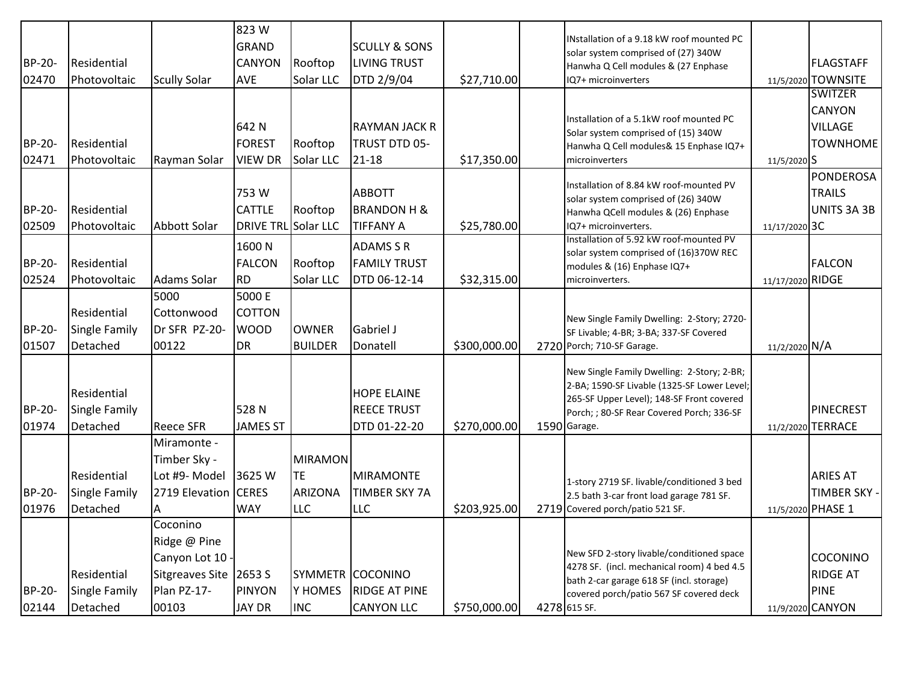| <b>BP-20-</b><br>02470 | Residential<br>Photovoltaic                     | <b>Scully Solar</b>                                                                         | 823W<br><b>GRAND</b><br><b>CANYON</b><br>AVE | Rooftop<br>Solar LLC                                        | <b>SCULLY &amp; SONS</b><br><b>LIVING TRUST</b><br>DTD 2/9/04 | \$27,710.00  | INstallation of a 9.18 kW roof mounted PC<br>solar system comprised of (27) 340W<br>Hanwha Q Cell modules & (27 Enphase<br>IQ7+ microinverters                                                      |                  | <b>FLAGSTAFF</b><br>11/5/2020 TOWNSITE<br><b>SWITZER</b>       |
|------------------------|-------------------------------------------------|---------------------------------------------------------------------------------------------|----------------------------------------------|-------------------------------------------------------------|---------------------------------------------------------------|--------------|-----------------------------------------------------------------------------------------------------------------------------------------------------------------------------------------------------|------------------|----------------------------------------------------------------|
| <b>BP-20-</b><br>02471 | Residential<br>Photovoltaic                     | Rayman Solar                                                                                | 642 N<br><b>FOREST</b><br><b>VIEW DR</b>     | Rooftop<br>Solar LLC                                        | RAYMAN JACK R<br>TRUST DTD 05-<br>$21 - 18$                   | \$17,350.00  | Installation of a 5.1kW roof mounted PC<br>Solar system comprised of (15) 340W<br>Hanwha Q Cell modules& 15 Enphase IQ7+<br>microinverters                                                          | 11/5/2020 S      | CANYON<br><b>VILLAGE</b><br><b>TOWNHOME</b>                    |
| <b>BP-20-</b><br>02509 | Residential<br>Photovoltaic                     | Abbott Solar                                                                                | 753W<br><b>CATTLE</b><br>DRIVE TRL Solar LLC | Rooftop                                                     | <b>ABBOTT</b><br><b>BRANDON H &amp;</b><br><b>TIFFANY A</b>   | \$25,780.00  | Installation of 8.84 kW roof-mounted PV<br>solar system comprised of (26) 340W<br>Hanwha QCell modules & (26) Enphase<br>IQ7+ microinverters.                                                       | 11/17/2020 3C    | <b>PONDEROSA</b><br><b>TRAILS</b><br>UNITS 3A 3B               |
| <b>BP-20-</b><br>02524 | Residential<br>Photovoltaic                     | <b>Adams Solar</b>                                                                          | 1600N<br><b>FALCON</b><br><b>RD</b>          | Rooftop<br>Solar LLC                                        | <b>ADAMS S R</b><br><b>FAMILY TRUST</b><br>DTD 06-12-14       | \$32,315.00  | Installation of 5.92 kW roof-mounted PV<br>solar system comprised of (16)370W REC<br>modules & (16) Enphase IQ7+<br>microinverters.                                                                 | 11/17/2020 RIDGE | <b>FALCON</b>                                                  |
| <b>BP-20-</b><br>01507 | Residential<br><b>Single Family</b><br>Detached | 5000<br>Cottonwood<br>Dr SFR PZ-20-<br>00122                                                | 5000 E<br><b>COTTON</b><br><b>WOOD</b><br>DR | <b>OWNER</b><br><b>BUILDER</b>                              | Gabriel J<br>Donatell                                         | \$300,000.00 | New Single Family Dwelling: 2-Story; 2720-<br>SF Livable; 4-BR; 3-BA; 337-SF Covered<br>2720 Porch; 710-SF Garage.                                                                                  | 11/2/2020 N/A    |                                                                |
| <b>BP-20-</b><br>01974 | Residential<br>Single Family<br>Detached        | <b>Reece SFR</b>                                                                            | 528N<br>JAMES ST                             |                                                             | <b>HOPE ELAINE</b><br><b>REECE TRUST</b><br>DTD 01-22-20      | \$270,000.00 | New Single Family Dwelling: 2-Story; 2-BR;<br>2-BA; 1590-SF Livable (1325-SF Lower Level;<br>265-SF Upper Level); 148-SF Front covered<br>Porch; ; 80-SF Rear Covered Porch; 336-SF<br>1590 Garage. | 11/2/2020        | <b>PINECREST</b><br><b>TERRACE</b>                             |
| <b>BP-20-</b><br>01976 | Residential<br>Single Family<br>Detached        | Miramonte -<br>Timber Sky -<br>Lot #9- Model<br>2719 Elevation CERES<br>A                   | 3625 W<br><b>WAY</b>                         | <b>MIRAMON</b><br><b>TE</b><br><b>ARIZONA</b><br><b>LLC</b> | <b>MIRAMONTE</b><br><b>TIMBER SKY 7A</b><br><b>LLC</b>        | \$203,925.00 | 1-story 2719 SF. livable/conditioned 3 bed<br>2.5 bath 3-car front load garage 781 SF.<br>2719 Covered porch/patio 521 SF.                                                                          |                  | <b>ARIES AT</b><br>TIMBER SKY -<br>11/5/2020 PHASE 1           |
| BP-20-<br>02144        | Residential<br><b>Single Family</b><br>Detached | Coconino<br>Ridge @ Pine<br>Canyon Lot 10<br>Sitgreaves Site 2653 S<br>Plan PZ-17-<br>00103 | <b>PINYON</b><br><b>JAY DR</b>               | <b>SYMMETR</b><br>Y HOMES<br><b>INC</b>                     | COCONINO<br><b>RIDGE AT PINE</b><br><b>CANYON LLC</b>         | \$750,000.00 | New SFD 2-story livable/conditioned space<br>4278 SF. (incl. mechanical room) 4 bed 4.5<br>bath 2-car garage 618 SF (incl. storage)<br>covered porch/patio 567 SF covered deck<br>4278 615 SF.      |                  | COCONINO<br><b>RIDGE AT</b><br><b>PINE</b><br>11/9/2020 CANYON |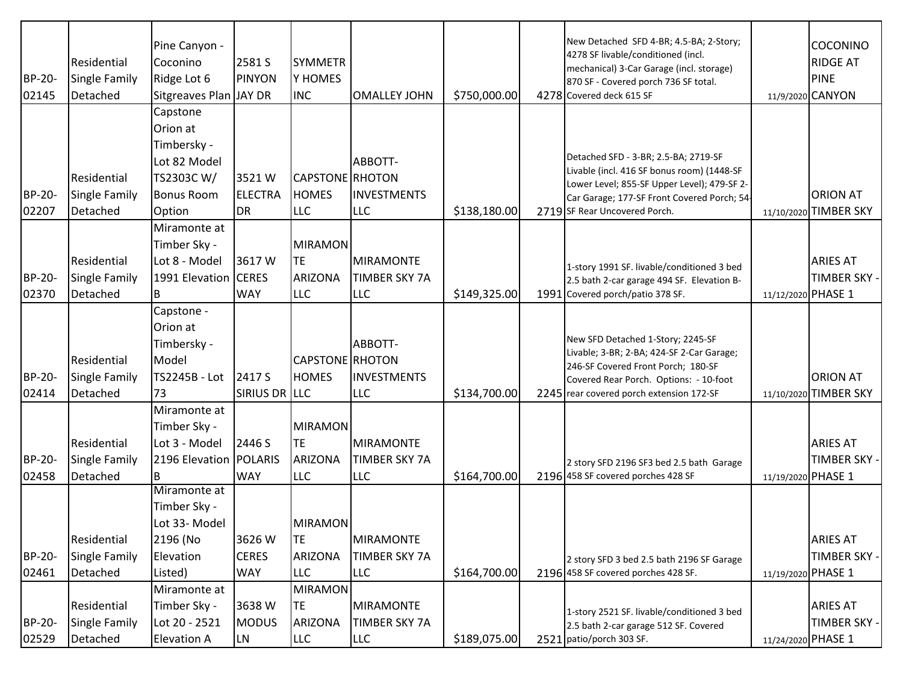| <b>BP-20-</b><br>02145 | Residential<br>Single Family<br>Detached | Pine Canyon -<br>Coconino<br>Ridge Lot 6<br>Sitgreaves Plan JAY DR                     | 2581 S<br><b>PINYON</b>             | <b>SYMMETR</b><br>Y HOMES<br><b>INC</b>                     | <b>OMALLEY JOHN</b>                                    | \$750,000.00 | New Detached SFD 4-BR; 4.5-BA; 2-Story;<br>4278 SF livable/conditioned (incl.<br>mechanical) 3-Car Garage (incl. storage)<br>870 SF - Covered porch 736 SF total.<br>4278 Covered deck 615 SF              | COCONINO<br><b>RIDGE AT</b><br><b>PINE</b><br>11/9/2020 CANYON |
|------------------------|------------------------------------------|----------------------------------------------------------------------------------------|-------------------------------------|-------------------------------------------------------------|--------------------------------------------------------|--------------|------------------------------------------------------------------------------------------------------------------------------------------------------------------------------------------------------------|----------------------------------------------------------------|
| <b>BP-20-</b>          | Residential<br>Single Family             | Capstone<br>Orion at<br>Timbersky -<br>Lot 82 Model<br>TS2303C W/<br><b>Bonus Room</b> | 3521W<br><b>ELECTRA</b>             | CAPSTONE RHOTON<br><b>HOMES</b>                             | ABBOTT-<br><b>INVESTMENTS</b>                          |              | Detached SFD - 3-BR; 2.5-BA; 2719-SF<br>Livable (incl. 416 SF bonus room) (1448-SF<br>Lower Level; 855-SF Upper Level); 479-SF 2-<br>Car Garage; 177-SF Front Covered Porch; 54-                           | <b>ORION AT</b>                                                |
| 02207                  | Detached                                 | Option                                                                                 | <b>DR</b>                           | <b>LLC</b>                                                  | <b>LLC</b>                                             | \$138,180.00 | 2719 SF Rear Uncovered Porch.                                                                                                                                                                              | 11/10/2020 TIMBER SKY                                          |
| BP-20-<br>02370        | Residential<br>Single Family<br>Detached | Miramonte at<br>Timber Sky -<br>Lot 8 - Model<br>1991 Elevation CERES<br>B             | 3617 W<br><b>WAY</b>                | <b>MIRAMON</b><br><b>TE</b><br><b>ARIZONA</b><br><b>LLC</b> | <b>MIRAMONTE</b><br><b>TIMBER SKY 7A</b><br><b>LLC</b> | \$149,325.00 | 1-story 1991 SF. livable/conditioned 3 bed<br>2.5 bath 2-car garage 494 SF. Elevation B-<br>1991 Covered porch/patio 378 SF.                                                                               | <b>ARIES AT</b><br><b>TIMBER SKY -</b><br>11/12/2020 PHASE 1   |
| BP-20-<br>02414        | Residential<br>Single Family<br>Detached | Capstone -<br>Orion at<br>Timbersky -<br>Model<br>TS2245B - Lot<br>73                  | 2417 S<br>SIRIUS DR LLC             | CAPSTONE RHOTON<br><b>HOMES</b>                             | ABBOTT-<br><b>INVESTMENTS</b><br><b>LLC</b>            | \$134,700.00 | New SFD Detached 1-Story; 2245-SF<br>Livable; 3-BR; 2-BA; 424-SF 2-Car Garage;<br>246-SF Covered Front Porch; 180-SF<br>Covered Rear Porch. Options: - 10-foot<br>2245 rear covered porch extension 172-SF | <b>ORION AT</b><br>11/10/2020 TIMBER SKY                       |
| BP-20-<br>02458        | Residential<br>Single Family<br>Detached | Miramonte at<br>Timber Sky -<br>Lot 3 - Model<br>2196 Elevation   POLARIS<br>l B       | 2446 S<br><b>WAY</b>                | <b>MIRAMON</b><br><b>TE</b><br><b>ARIZONA</b><br><b>LLC</b> | <b>MIRAMONTE</b><br><b>TIMBER SKY 7A</b><br><b>LLC</b> | \$164,700.00 | 2 story SFD 2196 SF3 bed 2.5 bath Garage<br>2196 458 SF covered porches 428 SF                                                                                                                             | <b>ARIES AT</b><br><b>TIMBER SKY -</b><br>11/19/2020 PHASE 1   |
| BP-20-<br>02461        | Residential<br>Single Family<br>Detached | Miramonte at<br>Timber Sky -<br>Lot 33- Model<br>2196 (No<br>Elevation<br>Listed)      | 3626W<br><b>CERES</b><br><b>WAY</b> | <b>MIRAMON</b><br><b>TE</b><br><b>ARIZONA</b><br><b>LLC</b> | <b>MIRAMONTE</b><br><b>TIMBER SKY 7A</b><br><b>LLC</b> | \$164,700.00 | 2 story SFD 3 bed 2.5 bath 2196 SF Garage<br>2196 458 SF covered porches 428 SF.                                                                                                                           | <b>ARIES AT</b><br>TIMBER SKY -<br>11/19/2020 PHASE 1          |
| BP-20-<br>02529        | Residential<br>Single Family<br>Detached | Miramonte at<br>Timber Sky -<br>Lot 20 - 2521<br><b>Elevation A</b>                    | 3638W<br><b>MODUS</b><br><b>LN</b>  | <b>MIRAMON</b><br><b>TE</b><br><b>ARIZONA</b><br><b>LLC</b> | <b>MIRAMONTE</b><br>TIMBER SKY 7A<br><b>LLC</b>        | \$189,075.00 | 1-story 2521 SF. livable/conditioned 3 bed<br>2.5 bath 2-car garage 512 SF. Covered<br>2521 patio/porch 303 SF.                                                                                            | <b>ARIES AT</b><br>TIMBER SKY -<br>11/24/2020 PHASE 1          |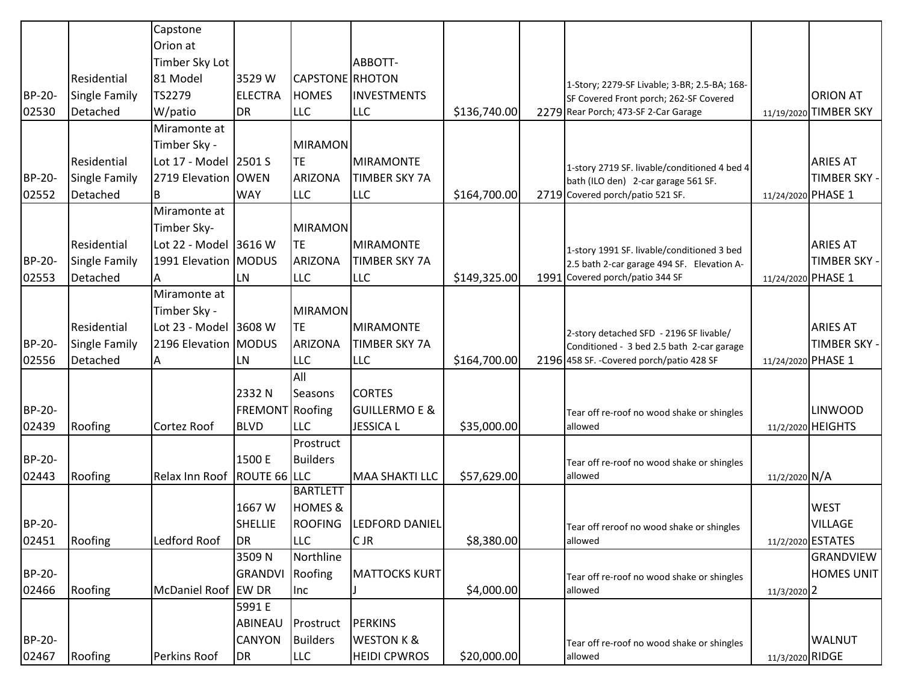|               |                      | Capstone                    |                 |                    |                          |              |                                              |                    |                       |
|---------------|----------------------|-----------------------------|-----------------|--------------------|--------------------------|--------------|----------------------------------------------|--------------------|-----------------------|
|               |                      | Orion at                    |                 |                    |                          |              |                                              |                    |                       |
|               |                      | Timber Sky Lot              |                 |                    | ABBOTT-                  |              |                                              |                    |                       |
|               | Residential          | 81 Model                    | 3529 W          | CAPSTONE RHOTON    |                          |              | 1-Story; 2279-SF Livable; 3-BR; 2.5-BA; 168- |                    |                       |
| <b>BP-20-</b> | <b>Single Family</b> | TS2279                      | <b>ELECTRA</b>  | <b>HOMES</b>       | <b>INVESTMENTS</b>       |              | SF Covered Front porch; 262-SF Covered       |                    | <b>ORION AT</b>       |
| 02530         | Detached             | W/patio                     | <b>DR</b>       | <b>LLC</b>         | <b>LLC</b>               | \$136,740.00 | 2279 Rear Porch; 473-SF 2-Car Garage         |                    | 11/19/2020 TIMBER SKY |
|               |                      | Miramonte at                |                 |                    |                          |              |                                              |                    |                       |
|               |                      | Timber Sky -                |                 | <b>MIRAMON</b>     |                          |              |                                              |                    |                       |
|               | Residential          | Lot 17 - Model 2501 S       |                 | <b>TE</b>          | <b>MIRAMONTE</b>         |              | 1-story 2719 SF. livable/conditioned 4 bed 4 |                    | <b>ARIES AT</b>       |
| <b>BP-20-</b> | <b>Single Family</b> | 2719 Elevation   OWEN       |                 | <b>ARIZONA</b>     | <b>TIMBER SKY 7A</b>     |              | bath (ILO den) 2-car garage 561 SF.          |                    | TIMBER SKY -          |
| 02552         | Detached             | B                           | <b>WAY</b>      | <b>LLC</b>         | LLC                      | \$164,700.00 | 2719 Covered porch/patio 521 SF.             | 11/24/2020 PHASE 1 |                       |
|               |                      | Miramonte at                |                 |                    |                          |              |                                              |                    |                       |
|               |                      | Timber Sky-                 |                 | <b>MIRAMON</b>     |                          |              |                                              |                    |                       |
|               | Residential          | Lot 22 - Model 3616 W       |                 | <b>TE</b>          | <b>MIRAMONTE</b>         |              | 1-story 1991 SF. livable/conditioned 3 bed   |                    | <b>ARIES AT</b>       |
| <b>BP-20-</b> | <b>Single Family</b> | 1991 Elevation   MODUS      |                 | <b>ARIZONA</b>     | <b>TIMBER SKY 7A</b>     |              | 2.5 bath 2-car garage 494 SF. Elevation A-   |                    | TIMBER SKY -          |
| 02553         | Detached             |                             | <b>LN</b>       | <b>LLC</b>         | LLC                      | \$149,325.00 | 1991 Covered porch/patio 344 SF              | 11/24/2020 PHASE 1 |                       |
|               |                      | Miramonte at                |                 |                    |                          |              |                                              |                    |                       |
|               |                      | Timber Sky -                |                 | <b>MIRAMON</b>     |                          |              |                                              |                    |                       |
|               | Residential          | Lot 23 - Model 3608 W       |                 | <b>TE</b>          | MIRAMONTE                |              | 2-story detached SFD - 2196 SF livable/      |                    | <b>ARIES AT</b>       |
| <b>BP-20-</b> | <b>Single Family</b> | 2196 Elevation   MODUS      |                 | <b>ARIZONA</b>     | <b>TIMBER SKY 7A</b>     |              | Conditioned - 3 bed 2.5 bath 2-car garage    |                    | TIMBER SKY -          |
| 02556         | Detached             | IA.                         | LN              | <b>LLC</b>         | LLC                      | \$164,700.00 | 2196 458 SF. - Covered porch/patio 428 SF    | 11/24/2020 PHASE 1 |                       |
|               |                      |                             |                 | All                |                          |              |                                              |                    |                       |
|               |                      |                             | 2332 N          | Seasons            | <b>CORTES</b>            |              |                                              |                    |                       |
| BP-20-        |                      |                             | FREMONT Roofing |                    | <b>GUILLERMO E &amp;</b> |              | Tear off re-roof no wood shake or shingles   |                    | <b>LINWOOD</b>        |
| 02439         | Roofing              | Cortez Roof                 | <b>BLVD</b>     | <b>LLC</b>         | <b>JESSICA L</b>         | \$35,000.00  | allowed                                      |                    | 11/2/2020 HEIGHTS     |
|               |                      |                             |                 | Prostruct          |                          |              |                                              |                    |                       |
| <b>BP-20-</b> |                      |                             | 1500 E          | <b>Builders</b>    |                          |              | Tear off re-roof no wood shake or shingles   |                    |                       |
| 02443         | Roofing              | Relax Inn Roof ROUTE 66 LLC |                 |                    | MAA SHAKTI LLC           | \$57,629.00  | allowed                                      | 11/2/2020 N/A      |                       |
|               |                      |                             |                 | <b>BARTLETT</b>    |                          |              |                                              |                    |                       |
|               |                      |                             | 1667 W          | <b>HOMES &amp;</b> |                          |              |                                              |                    | <b>WEST</b>           |
| <b>BP-20-</b> |                      |                             | <b>SHELLIE</b>  | <b>ROOFING</b>     | LEDFORD DANIEL           |              | Tear off reroof no wood shake or shingles    |                    | <b>VILLAGE</b>        |
| 02451         | Roofing              | Ledford Roof                | <b>DR</b>       | <b>LLC</b>         | CLIR                     | \$8,380.00   | allowed                                      |                    | 11/2/2020 ESTATES     |
|               |                      |                             | 3509N           | Northline          |                          |              |                                              |                    | GRANDVIEW             |
| BP-20-        |                      |                             | GRANDVI         | Roofing            | <b>MATTOCKS KURT</b>     |              | Tear off re-roof no wood shake or shingles   |                    | <b>HOMES UNIT</b>     |
| 02466         | Roofing              | McDaniel Roof EW DR         |                 | Inc                |                          | \$4,000.00   | allowed                                      | 11/3/2020 2        |                       |
|               |                      |                             | 5991 E          |                    |                          |              |                                              |                    |                       |
|               |                      |                             | ABINEAU         | Prostruct          | PERKINS                  |              |                                              |                    |                       |
| BP-20-        |                      |                             | CANYON          | <b>Builders</b>    | <b>WESTON K &amp;</b>    |              | Tear off re-roof no wood shake or shingles   |                    | <b>WALNUT</b>         |
| 02467         | Roofing              | Perkins Roof                | <b>DR</b>       | <b>LLC</b>         | <b>HEIDI CPWROS</b>      | \$20,000.00  | allowed                                      | 11/3/2020 RIDGE    |                       |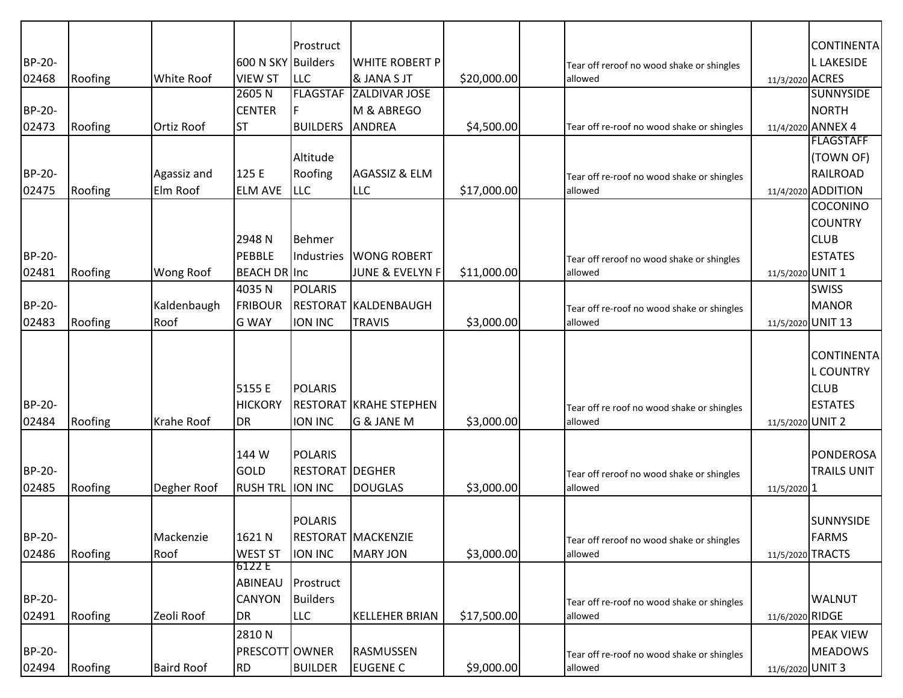|               |         |                   |                     | Prostruct              |                               |             |                                            |                   | <b>CONTINENTA</b>  |
|---------------|---------|-------------------|---------------------|------------------------|-------------------------------|-------------|--------------------------------------------|-------------------|--------------------|
| <b>BP-20-</b> |         |                   | 600 N SKY Builders  |                        | WHITE ROBERT P                |             | Tear off reroof no wood shake or shingles  |                   | <b>L LAKESIDE</b>  |
| 02468         | Roofing | White Roof        | <b>VIEW ST</b>      | <b>LLC</b>             | & JANA S JT                   | \$20,000.00 | allowed                                    | 11/3/2020 ACRES   |                    |
|               |         |                   | 2605N               | <b>FLAGSTAF</b>        | <b>ZALDIVAR JOSE</b>          |             |                                            |                   | <b>SUNNYSIDE</b>   |
| BP-20-        |         |                   | <b>CENTER</b>       |                        | M & ABREGO                    |             |                                            |                   | <b>NORTH</b>       |
| 02473         | Roofing | <b>Ortiz Roof</b> | <b>ST</b>           | <b>BUILDERS</b>        | ANDREA                        | \$4,500.00  | Tear off re-roof no wood shake or shingles |                   | 11/4/2020 ANNEX 4  |
|               |         |                   |                     |                        |                               |             |                                            |                   | <b>FLAGSTAFF</b>   |
|               |         |                   |                     | Altitude               |                               |             |                                            |                   | (TOWN OF)          |
| <b>BP-20-</b> |         | Agassiz and       | 125 E               | Roofing                | AGASSIZ & ELM                 |             | Tear off re-roof no wood shake or shingles |                   | <b>RAILROAD</b>    |
| 02475         | Roofing | Elm Roof          | <b>ELM AVE</b>      | <b>LLC</b>             | <b>LLC</b>                    | \$17,000.00 | allowed                                    |                   | 11/4/2020 ADDITION |
|               |         |                   |                     |                        |                               |             |                                            |                   | <b>COCONINO</b>    |
|               |         |                   |                     |                        |                               |             |                                            |                   | <b>COUNTRY</b>     |
|               |         |                   | 2948 N              | Behmer                 |                               |             |                                            |                   | <b>CLUB</b>        |
| <b>BP-20-</b> |         |                   | PEBBLE              | Industries             | <b>WONG ROBERT</b>            |             | Tear off reroof no wood shake or shingles  |                   | <b>ESTATES</b>     |
| 02481         | Roofing | Wong Roof         | <b>BEACH DR Inc</b> |                        | <b>JUNE &amp; EVELYN F</b>    | \$11,000.00 | allowed                                    | 11/5/2020 UNIT 1  |                    |
|               |         |                   | 4035N               | <b>POLARIS</b>         |                               |             |                                            |                   | <b>SWISS</b>       |
| <b>BP-20-</b> |         | Kaldenbaugh       | <b>FRIBOUR</b>      |                        | RESTORAT KALDENBAUGH          |             | Tear off re-roof no wood shake or shingles |                   | <b>MANOR</b>       |
| 02483         | Roofing | Roof              | <b>G WAY</b>        | <b>ION INC</b>         | <b>TRAVIS</b>                 | \$3,000.00  | allowed                                    | 11/5/2020 UNIT 13 |                    |
|               |         |                   |                     |                        |                               |             |                                            |                   |                    |
|               |         |                   |                     |                        |                               |             |                                            |                   | <b>CONTINENTA</b>  |
|               |         |                   |                     |                        |                               |             |                                            |                   | <b>L COUNTRY</b>   |
|               |         |                   | 5155 E              | <b>POLARIS</b>         |                               |             |                                            |                   | <b>CLUB</b>        |
| <b>BP-20-</b> |         |                   | <b>HICKORY</b>      |                        | <b>RESTORAT KRAHE STEPHEN</b> |             | Tear off re roof no wood shake or shingles |                   | <b>ESTATES</b>     |
| 02484         | Roofing | <b>Krahe Roof</b> | <b>DR</b>           | ION INC                | G & JANE M                    | \$3,000.00  | allowed                                    | 11/5/2020 UNIT 2  |                    |
|               |         |                   |                     |                        |                               |             |                                            |                   |                    |
|               |         |                   | 144 W               | <b>POLARIS</b>         |                               |             |                                            |                   | <b>PONDEROSA</b>   |
| <b>BP-20-</b> |         |                   | GOLD                | <b>RESTORAT DEGHER</b> |                               |             | Tear off reroof no wood shake or shingles  |                   | <b>TRAILS UNIT</b> |
| 02485         | Roofing | Degher Roof       | <b>RUSH TRL</b>     | <b>ION INC</b>         | <b>DOUGLAS</b>                | \$3,000.00  | allowed                                    | 11/5/2020 1       |                    |
|               |         |                   |                     |                        |                               |             |                                            |                   |                    |
|               |         |                   |                     | <b>POLARIS</b>         |                               |             |                                            |                   | SUNNYSIDE          |
| BP-20-        |         | Mackenzie         | 1621 N              |                        | RESTORAT MACKENZIE            |             | Tear off reroof no wood shake or shingles  |                   | <b>FARMS</b>       |
| 02486         | Roofing | Roof              | <b>WEST ST</b>      | ION INC                | <b>MARY JON</b>               | \$3,000.00  | allowed                                    | 11/5/2020 TRACTS  |                    |
|               |         |                   | 6122 E              |                        |                               |             |                                            |                   |                    |
|               |         |                   | ABINEAU             | Prostruct              |                               |             |                                            |                   |                    |
| <b>BP-20-</b> |         |                   | <b>CANYON</b>       | <b>Builders</b>        |                               |             | Tear off re-roof no wood shake or shingles |                   | <b>WALNUT</b>      |
| 02491         | Roofing | Zeoli Roof        | <b>DR</b>           | LLC                    | <b>KELLEHER BRIAN</b>         | \$17,500.00 | allowed                                    | 11/6/2020 RIDGE   |                    |
|               |         |                   | 2810N               |                        |                               |             |                                            |                   | <b>PEAK VIEW</b>   |
| BP-20-        |         |                   | PRESCOTT OWNER      |                        | RASMUSSEN                     |             | Tear off re-roof no wood shake or shingles |                   | <b>MEADOWS</b>     |
| 02494         | Roofing | <b>Baird Roof</b> | <b>RD</b>           | <b>BUILDER</b>         | <b>EUGENE C</b>               | \$9,000.00  | allowed                                    | 11/6/2020 UNIT 3  |                    |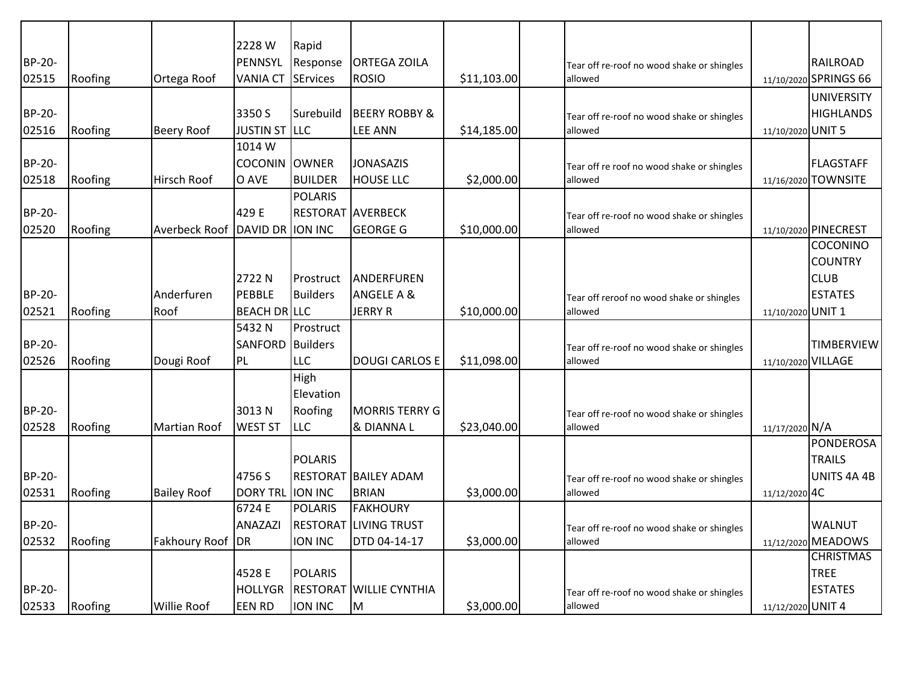|        |         |                     | 2228 W               | Rapid             |                             |             |                                            |                    |                       |
|--------|---------|---------------------|----------------------|-------------------|-----------------------------|-------------|--------------------------------------------|--------------------|-----------------------|
| BP-20- |         |                     | PENNSYL              | Response          | <b>ORTEGA ZOILA</b>         |             | Tear off re-roof no wood shake or shingles |                    | RAILROAD              |
| 02515  | Roofing | Ortega Roof         | <b>VANIA CT</b>      | <b>SErvices</b>   | <b>ROSIO</b>                | \$11,103.00 | allowed                                    |                    | 11/10/2020 SPRINGS 66 |
|        |         |                     |                      |                   |                             |             |                                            |                    | <b>UNIVERSITY</b>     |
| BP-20- |         |                     | 3350 S               | Surebuild         | <b>BEERY ROBBY &amp;</b>    |             | Tear off re-roof no wood shake or shingles |                    | <b>HIGHLANDS</b>      |
| 02516  | Roofing | <b>Beery Roof</b>   | <b>JUSTIN ST LLC</b> |                   | <b>LEE ANN</b>              | \$14,185.00 | allowed                                    | 11/10/2020 UNIT 5  |                       |
|        |         |                     | 1014W                |                   |                             |             |                                            |                    |                       |
| BP-20- |         |                     | <b>COCONIN</b>       | <b>OWNER</b>      | <b>JONASAZIS</b>            |             | Tear off re roof no wood shake or shingles |                    | IFLAGSTAFF            |
| 02518  | Roofing | Hirsch Roof         | O AVE                | <b>BUILDER</b>    | <b>HOUSE LLC</b>            | \$2,000.00  | allowed                                    | 11/16/2020         | <b>TOWNSITE</b>       |
|        |         |                     |                      | <b>POLARIS</b>    |                             |             |                                            |                    |                       |
| BP-20- |         |                     | 429 E                | RESTORAT AVERBECK |                             |             | Tear off re-roof no wood shake or shingles |                    |                       |
| 02520  | Roofing | Averbeck Roof       | DAVID DR             | <b>ION INC</b>    | <b>GEORGE G</b>             | \$10,000.00 | allowed                                    |                    | 11/10/2020 PINECREST  |
|        |         |                     |                      |                   |                             |             |                                            |                    | <b>COCONINO</b>       |
|        |         |                     |                      |                   |                             |             |                                            |                    | <b>COUNTRY</b>        |
|        |         |                     | 2722N                | Prostruct         | ANDERFUREN                  |             |                                            |                    | <b>CLUB</b>           |
| BP-20- |         | Anderfuren          | PEBBLE               | <b>Builders</b>   | <b>ANGELE A &amp;</b>       |             | Tear off reroof no wood shake or shingles  |                    | <b>ESTATES</b>        |
| 02521  | Roofing | Roof                | <b>BEACH DR LLC</b>  |                   | <b>JERRY R</b>              | \$10,000.00 | allowed                                    | 11/10/2020 UNIT 1  |                       |
|        |         |                     | 5432N                | Prostruct         |                             |             |                                            |                    |                       |
| BP-20- |         |                     | <b>SANFORD</b>       | <b>Builders</b>   |                             |             | Tear off re-roof no wood shake or shingles |                    | TIMBERVIEW            |
| 02526  | Roofing | Dougi Roof          | PL                   | <b>LLC</b>        | <b>DOUGI CARLOS E</b>       | \$11,098.00 | allowed                                    | 11/10/2020 VILLAGE |                       |
|        |         |                     |                      | High              |                             |             |                                            |                    |                       |
|        |         |                     |                      | Elevation         |                             |             |                                            |                    |                       |
| BP-20- |         |                     | 3013N                | Roofing           | <b>MORRIS TERRY G</b>       |             | Tear off re-roof no wood shake or shingles |                    |                       |
| 02528  | Roofing | <b>Martian Roof</b> | <b>WEST ST</b>       | LLC               | & DIANNA L                  | \$23,040.00 | allowed                                    | 11/17/2020 N/A     |                       |
|        |         |                     |                      |                   |                             |             |                                            |                    | <b>PONDEROSA</b>      |
|        |         |                     |                      | <b>POLARIS</b>    |                             |             |                                            |                    | <b>TRAILS</b>         |
| BP-20- |         |                     | 4756 S               |                   | <b>RESTORAT BAILEY ADAM</b> |             | Tear off re-roof no wood shake or shingles |                    | UNITS 4A 4B           |
| 02531  | Roofing | <b>Bailey Roof</b>  | <b>DORY TRL</b>      | <b>ION INC</b>    | <b>BRIAN</b>                | \$3,000.00  | allowed                                    | 11/12/2020 4C      |                       |
|        |         |                     | 6724 E               | <b>POLARIS</b>    | <b>FAKHOURY</b>             |             |                                            |                    |                       |
| BP-20- |         |                     | <b>ANAZAZI</b>       | <b>RESTORAT</b>   | <b>LIVING TRUST</b>         |             | Tear off re-roof no wood shake or shingles |                    | <b>WALNUT</b>         |
| 02532  | Roofing | Fakhoury Roof       | <b>IDR</b>           | ION INC           | DTD 04-14-17                | \$3,000.00  | allowed                                    |                    | 11/12/2020 MEADOWS    |
|        |         |                     |                      |                   |                             |             |                                            |                    | <b>CHRISTMAS</b>      |
|        |         |                     | 4528 E               | <b>POLARIS</b>    |                             |             |                                            |                    | <b>TREE</b>           |
| BP-20- |         |                     | <b>HOLLYGR</b>       | <b>RESTORAT</b>   | <b>WILLIE CYNTHIA</b>       |             | Tear off re-roof no wood shake or shingles |                    | <b>ESTATES</b>        |
| 02533  | Roofing | <b>Willie Roof</b>  | <b>EEN RD</b>        | ION INC           | M                           | \$3,000.00  | allowed                                    | 11/12/2020 UNIT 4  |                       |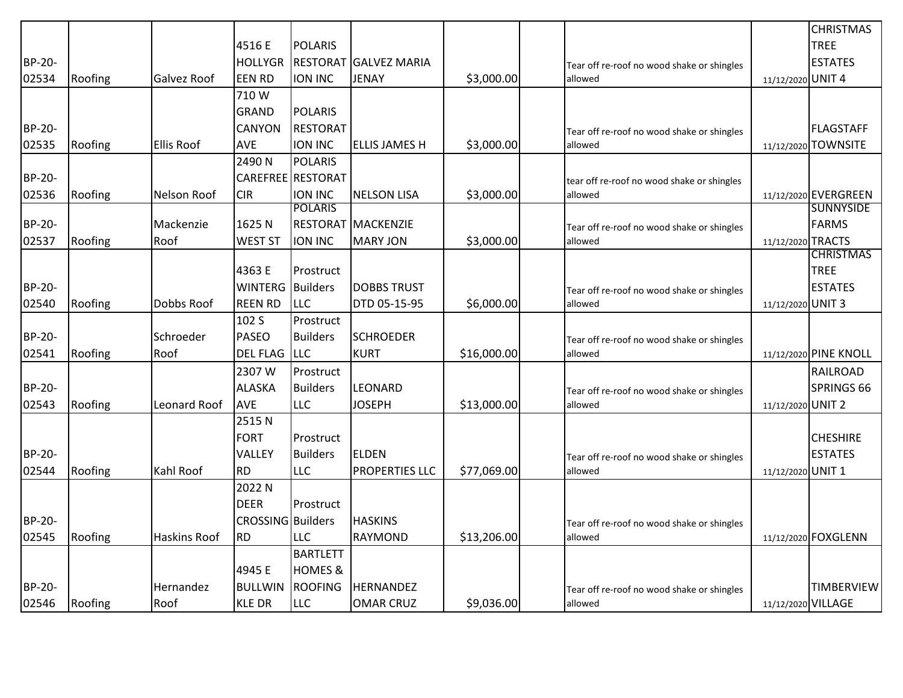|               |         |                     |                         |                    |                           |             |                                            |                    | <b>CHRISTMAS</b>      |
|---------------|---------|---------------------|-------------------------|--------------------|---------------------------|-------------|--------------------------------------------|--------------------|-----------------------|
|               |         |                     | 4516 E                  | <b>POLARIS</b>     |                           |             |                                            |                    | <b>TREE</b>           |
| <b>BP-20-</b> |         |                     | <b>HOLLYGR</b>          | <b>RESTORAT</b>    | <b>GALVEZ MARIA</b>       |             | Tear off re-roof no wood shake or shingles |                    | <b>ESTATES</b>        |
| 02534         | Roofing | <b>Galvez Roof</b>  | <b>EEN RD</b>           | <b>ION INC</b>     | <b>JENAY</b>              | \$3,000.00  | allowed                                    | 11/12/2020 UNIT 4  |                       |
|               |         |                     | 710W                    |                    |                           |             |                                            |                    |                       |
|               |         |                     | <b>GRAND</b>            | <b>POLARIS</b>     |                           |             |                                            |                    |                       |
| <b>BP-20-</b> |         |                     | CANYON                  | <b>RESTORAT</b>    |                           |             | Tear off re-roof no wood shake or shingles |                    | <b>FLAGSTAFF</b>      |
| 02535         | Roofing | <b>Ellis Roof</b>   | AVE                     | <b>ION INC</b>     | <b>ELLIS JAMES H</b>      | \$3,000.00  | allowed                                    |                    | 11/12/2020 TOWNSITE   |
|               |         |                     | 2490N                   | <b>POLARIS</b>     |                           |             |                                            |                    |                       |
| <b>BP-20-</b> |         |                     |                         | CAREFREE RESTORAT  |                           |             | tear off re-roof no wood shake or shingles |                    |                       |
| 02536         | Roofing | Nelson Roof         | <b>CIR</b>              | ION INC            | <b>NELSON LISA</b>        | \$3,000.00  | allowed                                    |                    | 11/12/2020 EVERGREEN  |
|               |         |                     |                         | <b>POLARIS</b>     |                           |             |                                            |                    | <b>SUNNYSIDE</b>      |
| BP-20-        |         | Mackenzie           | 1625N                   |                    | <b>RESTORAT MACKENZIE</b> |             | Tear off re-roof no wood shake or shingles |                    | <b>FARMS</b>          |
| 02537         | Roofing | Roof                | <b>WEST ST</b>          | ION INC            | <b>MARY JON</b>           | \$3,000.00  | allowed                                    | 11/12/2020 TRACTS  |                       |
|               |         |                     |                         |                    |                           |             |                                            |                    | <b>CHRISTMAS</b>      |
|               |         |                     | 4363 E                  | Prostruct          |                           |             |                                            |                    | <b>TREE</b>           |
| <b>BP-20-</b> |         |                     | <b>WINTERG</b> Builders |                    | <b>DOBBS TRUST</b>        |             | Tear off re-roof no wood shake or shingles |                    | <b>ESTATES</b>        |
| 02540         | Roofing | Dobbs Roof          | <b>REEN RD</b>          | <b>LLC</b>         | DTD 05-15-95              | \$6,000.00  | allowed                                    | 11/12/2020 UNIT 3  |                       |
|               |         |                     | 102 S                   | Prostruct          |                           |             |                                            |                    |                       |
| <b>BP-20-</b> |         | Schroeder           | <b>PASEO</b>            | <b>Builders</b>    | <b>SCHROEDER</b>          |             | Tear off re-roof no wood shake or shingles |                    |                       |
| 02541         | Roofing | Roof                | <b>DEL FLAG</b>         | <b>LLC</b>         | <b>KURT</b>               | \$16,000.00 | allowed                                    |                    | 11/12/2020 PINE KNOLL |
|               |         |                     | 2307W                   | Prostruct          |                           |             |                                            |                    | <b>RAILROAD</b>       |
| <b>BP-20-</b> |         |                     | <b>ALASKA</b>           | <b>Builders</b>    | LEONARD                   |             | Tear off re-roof no wood shake or shingles |                    | SPRINGS 66            |
| 02543         | Roofing | Leonard Roof        | <b>AVE</b>              | <b>LLC</b>         | <b>JOSEPH</b>             | \$13,000.00 | allowed                                    | 11/12/2020 UNIT 2  |                       |
|               |         |                     | 2515N                   |                    |                           |             |                                            |                    |                       |
|               |         |                     | <b>FORT</b>             | Prostruct          |                           |             |                                            |                    | <b>CHESHIRE</b>       |
| <b>BP-20-</b> |         |                     | VALLEY                  | <b>Builders</b>    | <b>ELDEN</b>              |             | Tear off re-roof no wood shake or shingles |                    | <b>ESTATES</b>        |
| 02544         | Roofing | Kahl Roof           | <b>RD</b>               | <b>LLC</b>         | <b>PROPERTIES LLC</b>     | \$77,069.00 | allowed                                    | 11/12/2020 UNIT 1  |                       |
|               |         |                     | 2022 N                  |                    |                           |             |                                            |                    |                       |
|               |         |                     | <b>DEER</b>             | Prostruct          |                           |             |                                            |                    |                       |
| <b>BP-20-</b> |         |                     | CROSSING Builders       |                    | <b>HASKINS</b>            |             | Tear off re-roof no wood shake or shingles |                    |                       |
| 02545         | Roofing | <b>Haskins Roof</b> | <b>RD</b>               | <b>LLC</b>         | <b>RAYMOND</b>            | \$13,206.00 | allowed                                    |                    | 11/12/2020 FOXGLENN   |
|               |         |                     |                         | <b>BARTLETT</b>    |                           |             |                                            |                    |                       |
|               |         |                     | 4945 E                  | <b>HOMES &amp;</b> |                           |             |                                            |                    |                       |
| <b>BP-20-</b> |         | Hernandez           | <b>BULLWIN</b>          | <b>ROOFING</b>     | <b>HERNANDEZ</b>          |             | Tear off re-roof no wood shake or shingles |                    | <b>TIMBERVIEW</b>     |
| 02546         | Roofing | Roof                | <b>KLE DR</b>           | <b>LLC</b>         | <b>OMAR CRUZ</b>          | \$9,036.00  | allowed                                    | 11/12/2020 VILLAGE |                       |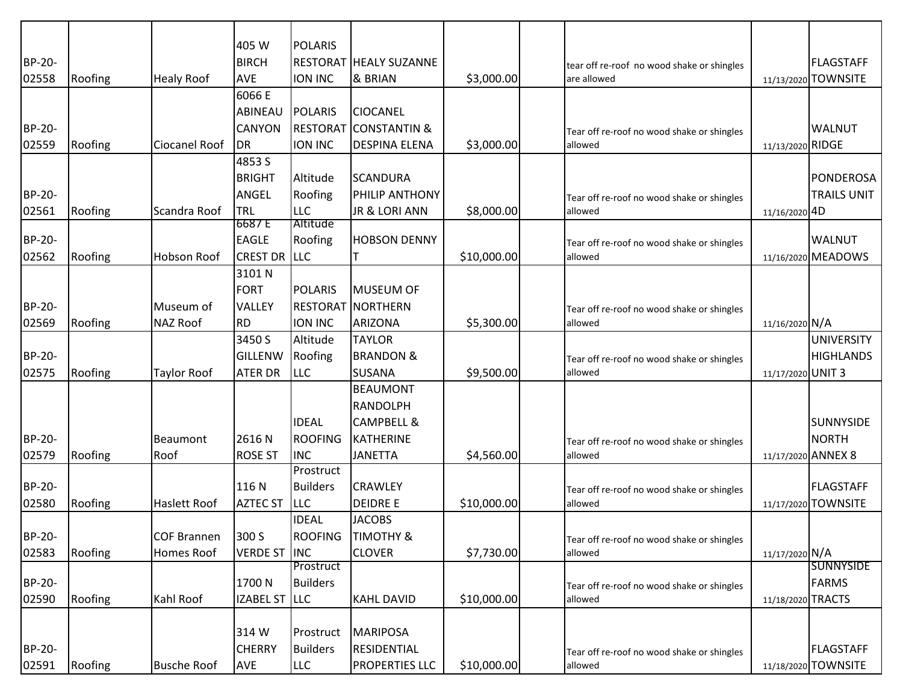| 405 W<br><b>POLARIS</b><br>BP-20-<br><b>BIRCH</b><br><b>RESTORAT HEALY SUZANNE</b><br><b>FLAGSTAFF</b><br>tear off re-roof no wood shake or shingles<br><b>AVE</b><br>02558<br>Roofing<br><b>Healy Roof</b><br><b>ION INC</b><br>& BRIAN<br>\$3,000.00<br>11/13/2020 TOWNSITE<br>are allowed<br>6066 E<br><b>ABINEAU</b><br><b>POLARIS</b><br><b>CIOCANEL</b><br><b>BP-20-</b><br><b>CANYON</b><br><b>RESTORAT</b><br><b>CONSTANTIN &amp;</b><br><b>WALNUT</b><br>Tear off re-roof no wood shake or shingles<br>Roofing<br>Ciocanel Roof<br>ION INC<br>\$3,000.00<br>02559<br>DR<br><b>DESPINA ELENA</b><br>allowed<br>11/13/2020 RIDGE<br>4853 S<br><b>BRIGHT</b><br>Altitude<br><b>SCANDURA</b><br><b>BP-20-</b><br>ANGEL<br>Roofing<br><b>PHILIP ANTHONY</b><br>Tear off re-roof no wood shake or shingles<br>Roofing<br>TRL<br><b>LLC</b><br>JR & LORI ANN<br>\$8,000.00<br>02561<br>Scandra Roof<br>allowed<br>11/16/2020 4D<br>6687 E<br>Altitude<br><b>EAGLE</b><br>BP-20-<br>Roofing<br><b>WALNUT</b><br><b>HOBSON DENNY</b><br>Tear off re-roof no wood shake or shingles<br><b>CREST DR LLC</b><br>\$10,000.00<br>02562<br>Roofing<br>Hobson Roof<br>11/16/2020 MEADOWS<br>allowed<br>3101 N<br><b>FORT</b><br><b>POLARIS</b><br>MUSEUM OF<br><b>BP-20-</b><br><b>RESTORAT NORTHERN</b><br>Museum of<br><b>VALLEY</b><br>Tear off re-roof no wood shake or shingles<br>Roofing<br><b>NAZ Roof</b><br><b>RD</b><br>ION INC<br><b>ARIZONA</b><br>11/16/2020 N/A<br>02569<br>\$5,300.00<br>allowed<br>3450 S<br>Altitude<br><b>TAYLOR</b><br><b>UNIVERSITY</b><br><b>BP-20-</b><br><b>GILLENW</b><br>Roofing<br><b>BRANDON &amp;</b><br><b>HIGHLANDS</b><br>Tear off re-roof no wood shake or shingles<br><b>ATER DR</b><br>LLC<br>\$9,500.00<br>02575<br>Roofing<br><b>SUSANA</b><br>11/17/2020 UNIT 3<br><b>Taylor Roof</b><br>allowed<br><b>BEAUMONT</b><br><b>RANDOLPH</b><br><b>IDEAL</b><br><b>CAMPBELL &amp;</b><br><b>SUNNYSIDE</b><br><b>BP-20-</b><br><b>ROOFING</b><br><b>KATHERINE</b><br><b>NORTH</b><br>Beaumont<br>2616 N<br>Tear off re-roof no wood shake or shingles<br><b>INC</b><br>02579<br>Roofing<br>Roof<br><b>ROSE ST</b><br><b>JANETTA</b><br>\$4,560.00<br>allowed<br>11/17/2020 ANNEX 8<br>Prostruct<br><b>BP-20-</b><br>116N<br><b>Builders</b><br><b>FLAGSTAFF</b><br><b>CRAWLEY</b><br>Tear off re-roof no wood shake or shingles<br><b>LLC</b><br><b>DEIDRE E</b><br>02580<br>Roofing<br><b>AZTEC ST</b><br>\$10,000.00<br><b>Haslett Roof</b><br>allowed<br>11/17/2020 TOWNSITE<br><b>IDEAL</b><br><b>JACOBS</b><br>BP-20-<br>300 S<br><b>ROOFING</b><br><b>COF Brannen</b><br><b>TIMOTHY &amp;</b><br>Tear off re-roof no wood shake or shingles<br>02583<br>Roofing<br>Homes Roof<br><b>VERDE ST INC</b><br><b>CLOVER</b><br>\$7,730.00<br>11/17/2020 N/A<br>allowed<br><b>SUNNYSIDE</b><br>Prostruct<br>BP-20-<br>1700N<br><b>FARMS</b><br><b>Builders</b><br>Tear off re-roof no wood shake or shingles<br>11/18/2020 TRACTS |       |         |           |                      |                   |             |         |                    |
|--------------------------------------------------------------------------------------------------------------------------------------------------------------------------------------------------------------------------------------------------------------------------------------------------------------------------------------------------------------------------------------------------------------------------------------------------------------------------------------------------------------------------------------------------------------------------------------------------------------------------------------------------------------------------------------------------------------------------------------------------------------------------------------------------------------------------------------------------------------------------------------------------------------------------------------------------------------------------------------------------------------------------------------------------------------------------------------------------------------------------------------------------------------------------------------------------------------------------------------------------------------------------------------------------------------------------------------------------------------------------------------------------------------------------------------------------------------------------------------------------------------------------------------------------------------------------------------------------------------------------------------------------------------------------------------------------------------------------------------------------------------------------------------------------------------------------------------------------------------------------------------------------------------------------------------------------------------------------------------------------------------------------------------------------------------------------------------------------------------------------------------------------------------------------------------------------------------------------------------------------------------------------------------------------------------------------------------------------------------------------------------------------------------------------------------------------------------------------------------------------------------------------------------------------------------------------------------------------------------------------------------------------------------------------------------------------------------------------------------------------------------------------------------------------------------------------------------------------------------------------------------------------------------------------------------------------------------------------|-------|---------|-----------|----------------------|-------------------|-------------|---------|--------------------|
|                                                                                                                                                                                                                                                                                                                                                                                                                                                                                                                                                                                                                                                                                                                                                                                                                                                                                                                                                                                                                                                                                                                                                                                                                                                                                                                                                                                                                                                                                                                                                                                                                                                                                                                                                                                                                                                                                                                                                                                                                                                                                                                                                                                                                                                                                                                                                                                                                                                                                                                                                                                                                                                                                                                                                                                                                                                                                                                                                                          |       |         |           |                      |                   |             |         |                    |
|                                                                                                                                                                                                                                                                                                                                                                                                                                                                                                                                                                                                                                                                                                                                                                                                                                                                                                                                                                                                                                                                                                                                                                                                                                                                                                                                                                                                                                                                                                                                                                                                                                                                                                                                                                                                                                                                                                                                                                                                                                                                                                                                                                                                                                                                                                                                                                                                                                                                                                                                                                                                                                                                                                                                                                                                                                                                                                                                                                          |       |         |           |                      |                   |             |         |                    |
|                                                                                                                                                                                                                                                                                                                                                                                                                                                                                                                                                                                                                                                                                                                                                                                                                                                                                                                                                                                                                                                                                                                                                                                                                                                                                                                                                                                                                                                                                                                                                                                                                                                                                                                                                                                                                                                                                                                                                                                                                                                                                                                                                                                                                                                                                                                                                                                                                                                                                                                                                                                                                                                                                                                                                                                                                                                                                                                                                                          |       |         |           |                      |                   |             |         |                    |
|                                                                                                                                                                                                                                                                                                                                                                                                                                                                                                                                                                                                                                                                                                                                                                                                                                                                                                                                                                                                                                                                                                                                                                                                                                                                                                                                                                                                                                                                                                                                                                                                                                                                                                                                                                                                                                                                                                                                                                                                                                                                                                                                                                                                                                                                                                                                                                                                                                                                                                                                                                                                                                                                                                                                                                                                                                                                                                                                                                          |       |         |           |                      |                   |             |         |                    |
|                                                                                                                                                                                                                                                                                                                                                                                                                                                                                                                                                                                                                                                                                                                                                                                                                                                                                                                                                                                                                                                                                                                                                                                                                                                                                                                                                                                                                                                                                                                                                                                                                                                                                                                                                                                                                                                                                                                                                                                                                                                                                                                                                                                                                                                                                                                                                                                                                                                                                                                                                                                                                                                                                                                                                                                                                                                                                                                                                                          |       |         |           |                      |                   |             |         |                    |
|                                                                                                                                                                                                                                                                                                                                                                                                                                                                                                                                                                                                                                                                                                                                                                                                                                                                                                                                                                                                                                                                                                                                                                                                                                                                                                                                                                                                                                                                                                                                                                                                                                                                                                                                                                                                                                                                                                                                                                                                                                                                                                                                                                                                                                                                                                                                                                                                                                                                                                                                                                                                                                                                                                                                                                                                                                                                                                                                                                          |       |         |           |                      |                   |             |         |                    |
|                                                                                                                                                                                                                                                                                                                                                                                                                                                                                                                                                                                                                                                                                                                                                                                                                                                                                                                                                                                                                                                                                                                                                                                                                                                                                                                                                                                                                                                                                                                                                                                                                                                                                                                                                                                                                                                                                                                                                                                                                                                                                                                                                                                                                                                                                                                                                                                                                                                                                                                                                                                                                                                                                                                                                                                                                                                                                                                                                                          |       |         |           |                      |                   |             |         |                    |
|                                                                                                                                                                                                                                                                                                                                                                                                                                                                                                                                                                                                                                                                                                                                                                                                                                                                                                                                                                                                                                                                                                                                                                                                                                                                                                                                                                                                                                                                                                                                                                                                                                                                                                                                                                                                                                                                                                                                                                                                                                                                                                                                                                                                                                                                                                                                                                                                                                                                                                                                                                                                                                                                                                                                                                                                                                                                                                                                                                          |       |         |           |                      |                   |             |         |                    |
|                                                                                                                                                                                                                                                                                                                                                                                                                                                                                                                                                                                                                                                                                                                                                                                                                                                                                                                                                                                                                                                                                                                                                                                                                                                                                                                                                                                                                                                                                                                                                                                                                                                                                                                                                                                                                                                                                                                                                                                                                                                                                                                                                                                                                                                                                                                                                                                                                                                                                                                                                                                                                                                                                                                                                                                                                                                                                                                                                                          |       |         |           |                      |                   |             |         |                    |
|                                                                                                                                                                                                                                                                                                                                                                                                                                                                                                                                                                                                                                                                                                                                                                                                                                                                                                                                                                                                                                                                                                                                                                                                                                                                                                                                                                                                                                                                                                                                                                                                                                                                                                                                                                                                                                                                                                                                                                                                                                                                                                                                                                                                                                                                                                                                                                                                                                                                                                                                                                                                                                                                                                                                                                                                                                                                                                                                                                          |       |         |           |                      |                   |             |         | <b>PONDEROSA</b>   |
|                                                                                                                                                                                                                                                                                                                                                                                                                                                                                                                                                                                                                                                                                                                                                                                                                                                                                                                                                                                                                                                                                                                                                                                                                                                                                                                                                                                                                                                                                                                                                                                                                                                                                                                                                                                                                                                                                                                                                                                                                                                                                                                                                                                                                                                                                                                                                                                                                                                                                                                                                                                                                                                                                                                                                                                                                                                                                                                                                                          |       |         |           |                      |                   |             |         | <b>TRAILS UNIT</b> |
|                                                                                                                                                                                                                                                                                                                                                                                                                                                                                                                                                                                                                                                                                                                                                                                                                                                                                                                                                                                                                                                                                                                                                                                                                                                                                                                                                                                                                                                                                                                                                                                                                                                                                                                                                                                                                                                                                                                                                                                                                                                                                                                                                                                                                                                                                                                                                                                                                                                                                                                                                                                                                                                                                                                                                                                                                                                                                                                                                                          |       |         |           |                      |                   |             |         |                    |
|                                                                                                                                                                                                                                                                                                                                                                                                                                                                                                                                                                                                                                                                                                                                                                                                                                                                                                                                                                                                                                                                                                                                                                                                                                                                                                                                                                                                                                                                                                                                                                                                                                                                                                                                                                                                                                                                                                                                                                                                                                                                                                                                                                                                                                                                                                                                                                                                                                                                                                                                                                                                                                                                                                                                                                                                                                                                                                                                                                          |       |         |           |                      |                   |             |         |                    |
|                                                                                                                                                                                                                                                                                                                                                                                                                                                                                                                                                                                                                                                                                                                                                                                                                                                                                                                                                                                                                                                                                                                                                                                                                                                                                                                                                                                                                                                                                                                                                                                                                                                                                                                                                                                                                                                                                                                                                                                                                                                                                                                                                                                                                                                                                                                                                                                                                                                                                                                                                                                                                                                                                                                                                                                                                                                                                                                                                                          |       |         |           |                      |                   |             |         |                    |
|                                                                                                                                                                                                                                                                                                                                                                                                                                                                                                                                                                                                                                                                                                                                                                                                                                                                                                                                                                                                                                                                                                                                                                                                                                                                                                                                                                                                                                                                                                                                                                                                                                                                                                                                                                                                                                                                                                                                                                                                                                                                                                                                                                                                                                                                                                                                                                                                                                                                                                                                                                                                                                                                                                                                                                                                                                                                                                                                                                          |       |         |           |                      |                   |             |         |                    |
|                                                                                                                                                                                                                                                                                                                                                                                                                                                                                                                                                                                                                                                                                                                                                                                                                                                                                                                                                                                                                                                                                                                                                                                                                                                                                                                                                                                                                                                                                                                                                                                                                                                                                                                                                                                                                                                                                                                                                                                                                                                                                                                                                                                                                                                                                                                                                                                                                                                                                                                                                                                                                                                                                                                                                                                                                                                                                                                                                                          |       |         |           |                      |                   |             |         |                    |
|                                                                                                                                                                                                                                                                                                                                                                                                                                                                                                                                                                                                                                                                                                                                                                                                                                                                                                                                                                                                                                                                                                                                                                                                                                                                                                                                                                                                                                                                                                                                                                                                                                                                                                                                                                                                                                                                                                                                                                                                                                                                                                                                                                                                                                                                                                                                                                                                                                                                                                                                                                                                                                                                                                                                                                                                                                                                                                                                                                          |       |         |           |                      |                   |             |         |                    |
|                                                                                                                                                                                                                                                                                                                                                                                                                                                                                                                                                                                                                                                                                                                                                                                                                                                                                                                                                                                                                                                                                                                                                                                                                                                                                                                                                                                                                                                                                                                                                                                                                                                                                                                                                                                                                                                                                                                                                                                                                                                                                                                                                                                                                                                                                                                                                                                                                                                                                                                                                                                                                                                                                                                                                                                                                                                                                                                                                                          |       |         |           |                      |                   |             |         |                    |
|                                                                                                                                                                                                                                                                                                                                                                                                                                                                                                                                                                                                                                                                                                                                                                                                                                                                                                                                                                                                                                                                                                                                                                                                                                                                                                                                                                                                                                                                                                                                                                                                                                                                                                                                                                                                                                                                                                                                                                                                                                                                                                                                                                                                                                                                                                                                                                                                                                                                                                                                                                                                                                                                                                                                                                                                                                                                                                                                                                          |       |         |           |                      |                   |             |         |                    |
|                                                                                                                                                                                                                                                                                                                                                                                                                                                                                                                                                                                                                                                                                                                                                                                                                                                                                                                                                                                                                                                                                                                                                                                                                                                                                                                                                                                                                                                                                                                                                                                                                                                                                                                                                                                                                                                                                                                                                                                                                                                                                                                                                                                                                                                                                                                                                                                                                                                                                                                                                                                                                                                                                                                                                                                                                                                                                                                                                                          |       |         |           |                      |                   |             |         |                    |
|                                                                                                                                                                                                                                                                                                                                                                                                                                                                                                                                                                                                                                                                                                                                                                                                                                                                                                                                                                                                                                                                                                                                                                                                                                                                                                                                                                                                                                                                                                                                                                                                                                                                                                                                                                                                                                                                                                                                                                                                                                                                                                                                                                                                                                                                                                                                                                                                                                                                                                                                                                                                                                                                                                                                                                                                                                                                                                                                                                          |       |         |           |                      |                   |             |         |                    |
|                                                                                                                                                                                                                                                                                                                                                                                                                                                                                                                                                                                                                                                                                                                                                                                                                                                                                                                                                                                                                                                                                                                                                                                                                                                                                                                                                                                                                                                                                                                                                                                                                                                                                                                                                                                                                                                                                                                                                                                                                                                                                                                                                                                                                                                                                                                                                                                                                                                                                                                                                                                                                                                                                                                                                                                                                                                                                                                                                                          |       |         |           |                      |                   |             |         |                    |
|                                                                                                                                                                                                                                                                                                                                                                                                                                                                                                                                                                                                                                                                                                                                                                                                                                                                                                                                                                                                                                                                                                                                                                                                                                                                                                                                                                                                                                                                                                                                                                                                                                                                                                                                                                                                                                                                                                                                                                                                                                                                                                                                                                                                                                                                                                                                                                                                                                                                                                                                                                                                                                                                                                                                                                                                                                                                                                                                                                          |       |         |           |                      |                   |             |         |                    |
|                                                                                                                                                                                                                                                                                                                                                                                                                                                                                                                                                                                                                                                                                                                                                                                                                                                                                                                                                                                                                                                                                                                                                                                                                                                                                                                                                                                                                                                                                                                                                                                                                                                                                                                                                                                                                                                                                                                                                                                                                                                                                                                                                                                                                                                                                                                                                                                                                                                                                                                                                                                                                                                                                                                                                                                                                                                                                                                                                                          |       |         |           |                      |                   |             |         |                    |
|                                                                                                                                                                                                                                                                                                                                                                                                                                                                                                                                                                                                                                                                                                                                                                                                                                                                                                                                                                                                                                                                                                                                                                                                                                                                                                                                                                                                                                                                                                                                                                                                                                                                                                                                                                                                                                                                                                                                                                                                                                                                                                                                                                                                                                                                                                                                                                                                                                                                                                                                                                                                                                                                                                                                                                                                                                                                                                                                                                          |       |         |           |                      |                   |             |         |                    |
|                                                                                                                                                                                                                                                                                                                                                                                                                                                                                                                                                                                                                                                                                                                                                                                                                                                                                                                                                                                                                                                                                                                                                                                                                                                                                                                                                                                                                                                                                                                                                                                                                                                                                                                                                                                                                                                                                                                                                                                                                                                                                                                                                                                                                                                                                                                                                                                                                                                                                                                                                                                                                                                                                                                                                                                                                                                                                                                                                                          |       |         |           |                      |                   |             |         |                    |
|                                                                                                                                                                                                                                                                                                                                                                                                                                                                                                                                                                                                                                                                                                                                                                                                                                                                                                                                                                                                                                                                                                                                                                                                                                                                                                                                                                                                                                                                                                                                                                                                                                                                                                                                                                                                                                                                                                                                                                                                                                                                                                                                                                                                                                                                                                                                                                                                                                                                                                                                                                                                                                                                                                                                                                                                                                                                                                                                                                          |       |         |           |                      |                   |             |         |                    |
|                                                                                                                                                                                                                                                                                                                                                                                                                                                                                                                                                                                                                                                                                                                                                                                                                                                                                                                                                                                                                                                                                                                                                                                                                                                                                                                                                                                                                                                                                                                                                                                                                                                                                                                                                                                                                                                                                                                                                                                                                                                                                                                                                                                                                                                                                                                                                                                                                                                                                                                                                                                                                                                                                                                                                                                                                                                                                                                                                                          |       |         |           |                      |                   |             |         |                    |
|                                                                                                                                                                                                                                                                                                                                                                                                                                                                                                                                                                                                                                                                                                                                                                                                                                                                                                                                                                                                                                                                                                                                                                                                                                                                                                                                                                                                                                                                                                                                                                                                                                                                                                                                                                                                                                                                                                                                                                                                                                                                                                                                                                                                                                                                                                                                                                                                                                                                                                                                                                                                                                                                                                                                                                                                                                                                                                                                                                          |       |         |           |                      |                   |             |         |                    |
|                                                                                                                                                                                                                                                                                                                                                                                                                                                                                                                                                                                                                                                                                                                                                                                                                                                                                                                                                                                                                                                                                                                                                                                                                                                                                                                                                                                                                                                                                                                                                                                                                                                                                                                                                                                                                                                                                                                                                                                                                                                                                                                                                                                                                                                                                                                                                                                                                                                                                                                                                                                                                                                                                                                                                                                                                                                                                                                                                                          |       |         |           |                      |                   |             |         |                    |
|                                                                                                                                                                                                                                                                                                                                                                                                                                                                                                                                                                                                                                                                                                                                                                                                                                                                                                                                                                                                                                                                                                                                                                                                                                                                                                                                                                                                                                                                                                                                                                                                                                                                                                                                                                                                                                                                                                                                                                                                                                                                                                                                                                                                                                                                                                                                                                                                                                                                                                                                                                                                                                                                                                                                                                                                                                                                                                                                                                          |       |         |           |                      |                   |             |         |                    |
|                                                                                                                                                                                                                                                                                                                                                                                                                                                                                                                                                                                                                                                                                                                                                                                                                                                                                                                                                                                                                                                                                                                                                                                                                                                                                                                                                                                                                                                                                                                                                                                                                                                                                                                                                                                                                                                                                                                                                                                                                                                                                                                                                                                                                                                                                                                                                                                                                                                                                                                                                                                                                                                                                                                                                                                                                                                                                                                                                                          |       |         |           |                      |                   |             |         |                    |
|                                                                                                                                                                                                                                                                                                                                                                                                                                                                                                                                                                                                                                                                                                                                                                                                                                                                                                                                                                                                                                                                                                                                                                                                                                                                                                                                                                                                                                                                                                                                                                                                                                                                                                                                                                                                                                                                                                                                                                                                                                                                                                                                                                                                                                                                                                                                                                                                                                                                                                                                                                                                                                                                                                                                                                                                                                                                                                                                                                          |       |         |           |                      |                   |             |         |                    |
|                                                                                                                                                                                                                                                                                                                                                                                                                                                                                                                                                                                                                                                                                                                                                                                                                                                                                                                                                                                                                                                                                                                                                                                                                                                                                                                                                                                                                                                                                                                                                                                                                                                                                                                                                                                                                                                                                                                                                                                                                                                                                                                                                                                                                                                                                                                                                                                                                                                                                                                                                                                                                                                                                                                                                                                                                                                                                                                                                                          |       |         |           |                      |                   |             |         |                    |
|                                                                                                                                                                                                                                                                                                                                                                                                                                                                                                                                                                                                                                                                                                                                                                                                                                                                                                                                                                                                                                                                                                                                                                                                                                                                                                                                                                                                                                                                                                                                                                                                                                                                                                                                                                                                                                                                                                                                                                                                                                                                                                                                                                                                                                                                                                                                                                                                                                                                                                                                                                                                                                                                                                                                                                                                                                                                                                                                                                          |       |         |           |                      |                   |             |         |                    |
|                                                                                                                                                                                                                                                                                                                                                                                                                                                                                                                                                                                                                                                                                                                                                                                                                                                                                                                                                                                                                                                                                                                                                                                                                                                                                                                                                                                                                                                                                                                                                                                                                                                                                                                                                                                                                                                                                                                                                                                                                                                                                                                                                                                                                                                                                                                                                                                                                                                                                                                                                                                                                                                                                                                                                                                                                                                                                                                                                                          | 02590 | Roofing | Kahl Roof | <b>IZABEL ST LLC</b> | <b>KAHL DAVID</b> | \$10,000.00 | allowed |                    |
|                                                                                                                                                                                                                                                                                                                                                                                                                                                                                                                                                                                                                                                                                                                                                                                                                                                                                                                                                                                                                                                                                                                                                                                                                                                                                                                                                                                                                                                                                                                                                                                                                                                                                                                                                                                                                                                                                                                                                                                                                                                                                                                                                                                                                                                                                                                                                                                                                                                                                                                                                                                                                                                                                                                                                                                                                                                                                                                                                                          |       |         |           |                      |                   |             |         |                    |
| 314W<br>Prostruct<br>MARIPOSA                                                                                                                                                                                                                                                                                                                                                                                                                                                                                                                                                                                                                                                                                                                                                                                                                                                                                                                                                                                                                                                                                                                                                                                                                                                                                                                                                                                                                                                                                                                                                                                                                                                                                                                                                                                                                                                                                                                                                                                                                                                                                                                                                                                                                                                                                                                                                                                                                                                                                                                                                                                                                                                                                                                                                                                                                                                                                                                                            |       |         |           |                      |                   |             |         |                    |
| BP-20-<br><b>CHERRY</b><br><b>Builders</b><br><b>FLAGSTAFF</b><br>RESIDENTIAL<br>Tear off re-roof no wood shake or shingles                                                                                                                                                                                                                                                                                                                                                                                                                                                                                                                                                                                                                                                                                                                                                                                                                                                                                                                                                                                                                                                                                                                                                                                                                                                                                                                                                                                                                                                                                                                                                                                                                                                                                                                                                                                                                                                                                                                                                                                                                                                                                                                                                                                                                                                                                                                                                                                                                                                                                                                                                                                                                                                                                                                                                                                                                                              |       |         |           |                      |                   |             |         |                    |
| \$10,000.00<br>Roofing<br><b>AVE</b><br><b>LLC</b><br><b>PROPERTIES LLC</b><br>11/18/2020 TOWNSITE<br>02591<br><b>Busche Roof</b><br>allowed                                                                                                                                                                                                                                                                                                                                                                                                                                                                                                                                                                                                                                                                                                                                                                                                                                                                                                                                                                                                                                                                                                                                                                                                                                                                                                                                                                                                                                                                                                                                                                                                                                                                                                                                                                                                                                                                                                                                                                                                                                                                                                                                                                                                                                                                                                                                                                                                                                                                                                                                                                                                                                                                                                                                                                                                                             |       |         |           |                      |                   |             |         |                    |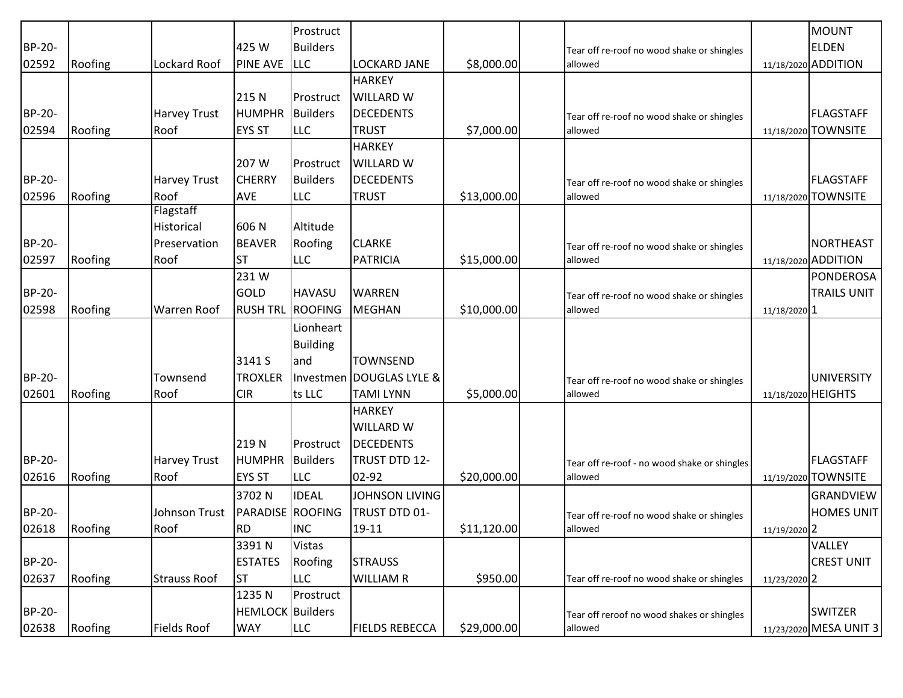|               |         |                     |                         | Prostruct       |                          |             |                                              |                    | <b>MOUNT</b>           |
|---------------|---------|---------------------|-------------------------|-----------------|--------------------------|-------------|----------------------------------------------|--------------------|------------------------|
| BP-20-        |         |                     | 425 W                   | <b>Builders</b> |                          |             | Tear off re-roof no wood shake or shingles   |                    | <b>ELDEN</b>           |
| 02592         | Roofing | Lockard Roof        | <b>PINE AVE</b>         | <b>LLC</b>      | <b>LOCKARD JANE</b>      | \$8,000.00  | allowed                                      |                    | 11/18/2020 ADDITION    |
|               |         |                     |                         |                 | <b>HARKEY</b>            |             |                                              |                    |                        |
|               |         |                     | 215N                    | Prostruct       | <b>WILLARD W</b>         |             |                                              |                    |                        |
| <b>BP-20-</b> |         | Harvey Trust        | <b>HUMPHR</b>           | <b>Builders</b> | <b>DECEDENTS</b>         |             | Tear off re-roof no wood shake or shingles   |                    | <b>FLAGSTAFF</b>       |
| 02594         | Roofing | Roof                | <b>EYS ST</b>           | <b>LLC</b>      | <b>TRUST</b>             | \$7,000.00  | allowed                                      |                    | 11/18/2020 TOWNSITE    |
|               |         |                     |                         |                 | <b>HARKEY</b>            |             |                                              |                    |                        |
|               |         |                     | 207 W                   | Prostruct       | <b>WILLARD W</b>         |             |                                              |                    |                        |
| <b>BP-20-</b> |         | <b>Harvey Trust</b> | <b>CHERRY</b>           | <b>Builders</b> | <b>DECEDENTS</b>         |             | Tear off re-roof no wood shake or shingles   |                    | <b>FLAGSTAFF</b>       |
| 02596         | Roofing | Roof                | <b>AVE</b>              | <b>LLC</b>      | <b>TRUST</b>             | \$13,000.00 | allowed                                      |                    | 11/18/2020 TOWNSITE    |
|               |         | Flagstaff           |                         |                 |                          |             |                                              |                    |                        |
|               |         | Historical          | 606 N                   | Altitude        |                          |             |                                              |                    |                        |
| <b>BP-20-</b> |         | Preservation        | <b>BEAVER</b>           | Roofing         | <b>CLARKE</b>            |             | Tear off re-roof no wood shake or shingles   |                    | NORTHEAST              |
| 02597         | Roofing | Roof                | <b>ST</b>               | <b>LLC</b>      | <b>PATRICIA</b>          | \$15,000.00 | allowed                                      |                    | 11/18/2020 ADDITION    |
|               |         |                     | 231W                    |                 |                          |             |                                              |                    | PONDEROSA              |
| <b>BP-20-</b> |         |                     | <b>GOLD</b>             | <b>HAVASU</b>   | <b>WARREN</b>            |             | Tear off re-roof no wood shake or shingles   |                    | <b>TRAILS UNIT</b>     |
| 02598         | Roofing | <b>Warren Roof</b>  | <b>RUSH TRL</b>         | <b>ROOFING</b>  | <b>MEGHAN</b>            | \$10,000.00 | allowed                                      | 11/18/2020 1       |                        |
|               |         |                     |                         | Lionheart       |                          |             |                                              |                    |                        |
|               |         |                     |                         | <b>Building</b> |                          |             |                                              |                    |                        |
|               |         |                     | 3141 S                  | and             | <b>TOWNSEND</b>          |             |                                              |                    |                        |
| <b>BP-20-</b> |         | Townsend            | <b>TROXLER</b>          |                 | Investmen DOUGLAS LYLE & |             | Tear off re-roof no wood shake or shingles   |                    | <b>UNIVERSITY</b>      |
| 02601         | Roofing | Roof                | <b>CIR</b>              | ts LLC          | <b>TAMI LYNN</b>         | \$5,000.00  | allowed                                      | 11/18/2020 HEIGHTS |                        |
|               |         |                     |                         |                 | <b>HARKEY</b>            |             |                                              |                    |                        |
|               |         |                     |                         |                 | <b>WILLARD W</b>         |             |                                              |                    |                        |
|               |         |                     | 219N                    | Prostruct       | <b>DECEDENTS</b>         |             |                                              |                    |                        |
| <b>BP-20-</b> |         | Harvey Trust        | <b>HUMPHR</b>           | <b>Builders</b> | TRUST DTD 12-            |             | Tear off re-roof - no wood shake or shingles |                    | <b>FLAGSTAFF</b>       |
| 02616         | Roofing | Roof                | <b>EYS ST</b>           | <b>LLC</b>      | 02-92                    | \$20,000.00 | allowed                                      |                    | 11/19/2020 TOWNSITE    |
|               |         |                     | 3702N                   | <b>IDEAL</b>    | <b>JOHNSON LIVING</b>    |             |                                              |                    | <b>GRANDVIEW</b>       |
| BP-20-        |         | Johnson Trust       | <b>PARADISE ROOFING</b> |                 | TRUST DTD 01-            |             | Tear off re-roof no wood shake or shingles   |                    | HOMES UNIT             |
| 02618         | Roofing | Roof                | <b>RD</b>               | <b>INC</b>      | $19 - 11$                | \$11,120.00 | allowed                                      | 11/19/2020 2       |                        |
|               |         |                     | 3391N                   | <b>Vistas</b>   |                          |             |                                              |                    | <b>VALLEY</b>          |
| <b>BP-20-</b> |         |                     | <b>ESTATES</b>          | Roofing         | <b>STRAUSS</b>           |             |                                              |                    | <b>CREST UNIT</b>      |
| 02637         | Roofing | <b>Strauss Roof</b> | <b>ST</b>               | <b>LLC</b>      | <b>WILLIAM R</b>         | \$950.00    | Tear off re-roof no wood shake or shingles   | 11/23/2020 2       |                        |
|               |         |                     | 1235N                   | Prostruct       |                          |             |                                              |                    |                        |
| BP-20-        |         |                     | <b>HEMLOCK</b> Builders |                 |                          |             | Tear off reroof no wood shakes or shingles   |                    | <b>SWITZER</b>         |
| 02638         | Roofing | <b>Fields Roof</b>  | <b>WAY</b>              | <b>LLC</b>      | <b>FIELDS REBECCA</b>    | \$29,000.00 | allowed                                      |                    | 11/23/2020 MESA UNIT 3 |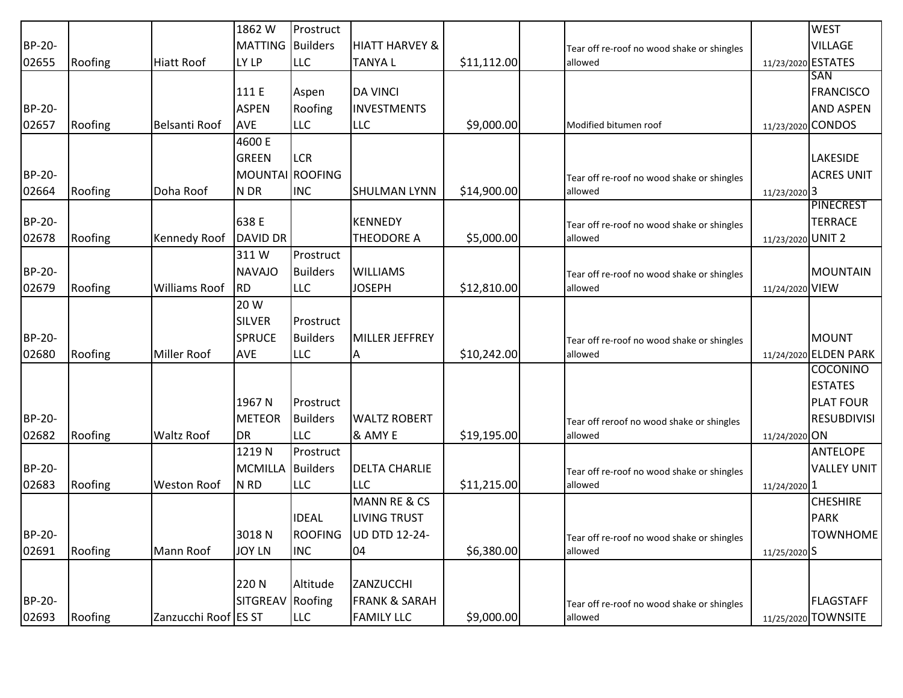|        |         |                      | 1862 W                  | Prostruct       |                           |             |                                            |                    | <b>WEST</b>           |
|--------|---------|----------------------|-------------------------|-----------------|---------------------------|-------------|--------------------------------------------|--------------------|-----------------------|
| BP-20- |         |                      | <b>MATTING</b> Builders |                 | <b>HIATT HARVEY &amp;</b> |             | Tear off re-roof no wood shake or shingles |                    | <b>VILLAGE</b>        |
| 02655  | Roofing | Hiatt Roof           | LY LP                   | <b>LLC</b>      | <b>TANYAL</b>             | \$11,112.00 | allowed                                    | 11/23/2020 ESTATES |                       |
|        |         |                      |                         |                 |                           |             |                                            |                    | SAN                   |
|        |         |                      | 111 E                   | Aspen           | <b>DA VINCI</b>           |             |                                            |                    | <b>FRANCISCO</b>      |
| BP-20- |         |                      | <b>ASPEN</b>            | Roofing         | <b>INVESTMENTS</b>        |             |                                            |                    | <b>AND ASPEN</b>      |
| 02657  | Roofing | Belsanti Roof        | <b>AVE</b>              | <b>LLC</b>      | <b>LLC</b>                | \$9,000.00  | Modified bitumen roof                      | 11/23/2020 CONDOS  |                       |
|        |         |                      | 4600 E                  |                 |                           |             |                                            |                    |                       |
|        |         |                      | <b>GREEN</b>            | <b>LCR</b>      |                           |             |                                            |                    | <b>LAKESIDE</b>       |
| BP-20- |         |                      | MOUNTAI ROOFING         |                 |                           |             | Tear off re-roof no wood shake or shingles |                    | <b>ACRES UNIT</b>     |
| 02664  | Roofing | Doha Roof            | N DR                    | <b>INC</b>      | <b>SHULMAN LYNN</b>       | \$14,900.00 | allowed                                    | 11/23/2020 3       |                       |
|        |         |                      |                         |                 |                           |             |                                            |                    | <b>PINECREST</b>      |
| BP-20- |         |                      | 638 E                   |                 | <b>KENNEDY</b>            |             | Tear off re-roof no wood shake or shingles |                    | <b>TERRACE</b>        |
| 02678  | Roofing | Kennedy Roof         | <b>DAVID DR</b>         |                 | THEODORE A                | \$5,000.00  | allowed                                    | 11/23/2020 UNIT 2  |                       |
|        |         |                      | 311W                    | Prostruct       |                           |             |                                            |                    |                       |
| BP-20- |         |                      | <b>NAVAJO</b>           | <b>Builders</b> | <b>WILLIAMS</b>           |             | Tear off re-roof no wood shake or shingles |                    | MOUNTAIN              |
| 02679  | Roofing | <b>Williams Roof</b> | <b>RD</b>               | <b>LLC</b>      | <b>JOSEPH</b>             | \$12,810.00 | allowed                                    | 11/24/2020 VIEW    |                       |
|        |         |                      | 20 W                    |                 |                           |             |                                            |                    |                       |
|        |         |                      | <b>SILVER</b>           | Prostruct       |                           |             |                                            |                    |                       |
| BP-20- |         |                      | <b>SPRUCE</b>           | <b>Builders</b> | <b>MILLER JEFFREY</b>     |             | Tear off re-roof no wood shake or shingles |                    | <b>MOUNT</b>          |
| 02680  | Roofing | <b>Miller Roof</b>   | <b>AVE</b>              | <b>LLC</b>      | A                         | \$10,242.00 | allowed                                    |                    | 11/24/2020 ELDEN PARK |
|        |         |                      |                         |                 |                           |             |                                            |                    | <b>COCONINO</b>       |
|        |         |                      |                         |                 |                           |             |                                            |                    | <b>ESTATES</b>        |
|        |         |                      | 1967 N                  | Prostruct       |                           |             |                                            |                    | <b>PLAT FOUR</b>      |
| BP-20- |         |                      | <b>METEOR</b>           | <b>Builders</b> | <b>WALTZ ROBERT</b>       |             | Tear off reroof no wood shake or shingles  |                    | <b>RESUBDIVISI</b>    |
| 02682  | Roofing | <b>Waltz Roof</b>    | <b>DR</b>               | <b>LLC</b>      | & AMY E                   | \$19,195.00 | allowed                                    | 11/24/2020 ON      |                       |
|        |         |                      | 1219N                   | Prostruct       |                           |             |                                            |                    | <b>ANTELOPE</b>       |
| BP-20- |         |                      | <b>MCMILLA</b>          | <b>Builders</b> | <b>DELTA CHARLIE</b>      |             | Tear off re-roof no wood shake or shingles |                    | <b>VALLEY UNIT</b>    |
| 02683  | Roofing | <b>Weston Roof</b>   | N <sub>RD</sub>         | <b>LLC</b>      | <b>LLC</b>                | \$11,215.00 | allowed                                    | 11/24/2020 1       |                       |
|        |         |                      |                         |                 | <b>MANN RE &amp; CS</b>   |             |                                            |                    | <b>CHESHIRE</b>       |
|        |         |                      |                         | <b>IDEAL</b>    | <b>LIVING TRUST</b>       |             |                                            |                    | <b>PARK</b>           |
| BP-20- |         |                      | 3018N                   | <b>ROOFING</b>  | UD DTD 12-24-             |             | Tear off re-roof no wood shake or shingles |                    | <b>TOWNHOME</b>       |
| 02691  | Roofing | Mann Roof            | <b>JOY LN</b>           | <b>INC</b>      | 04                        | \$6,380.00  | allowed                                    | 11/25/2020 S       |                       |
|        |         |                      |                         |                 |                           |             |                                            |                    |                       |
|        |         |                      | 220N                    | Altitude        | ZANZUCCHI                 |             |                                            |                    |                       |
| BP-20- |         |                      | SITGREAV                | Roofing         | <b>FRANK &amp; SARAH</b>  |             | Tear off re-roof no wood shake or shingles |                    | <b>FLAGSTAFF</b>      |
| 02693  | Roofing | Zanzucchi Roof ES ST |                         | <b>LLC</b>      | <b>FAMILY LLC</b>         | \$9,000.00  | allowed                                    |                    | 11/25/2020 TOWNSITE   |